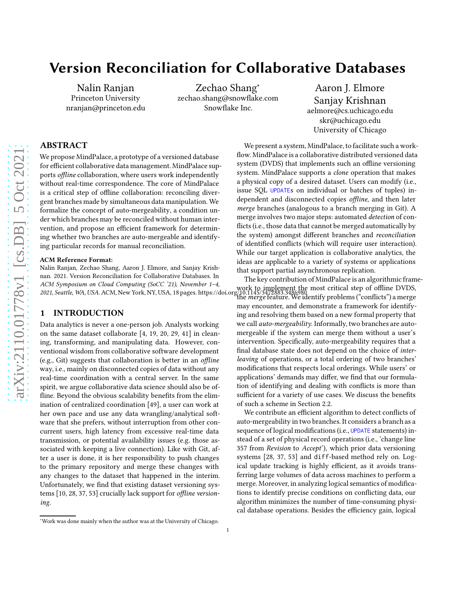# Version Reconciliation for Collaborative Databases

Nalin Ranjan Princeton University nranjan@princeton.edu

Zechao Shang<sup>∗</sup> zechao.shang@snowflake.com Snowflake Inc.

Aaron J. Elmore Sanjay Krishnan aelmore@cs.uchicago.edu skr@uchicago.edu University of Chicago

# ABSTRACT

We propose MindPalace, a prototype of a versioned database for efficient collaborative data management. MindPalace supports offline collaboration, where users work independently without real-time correspondence. The core of MindPalace is a critical step of offline collaboration: reconciling divergent branches made by simultaneous data manipulation. We formalize the concept of auto-mergeability, a condition under which branches may be reconciled without human intervention, and propose an efficient framework for determining whether two branches are auto-mergeable and identifying particular records for manual reconciliation.

#### ACM Reference Format:

Nalin Ranjan, Zechao Shang, Aaron J. Elmore, and Sanjay Krishnan. 2021. Version Reconciliation for Collaborative Databases. In ACM Symposium on Cloud Computing (SoCC '21), November 1–4,

## 1 INTRODUCTION

Data analytics is never a one-person job. Analysts working on the same dataset collaborate [\[4](#page-15-0), [19,](#page-15-1) [20](#page-15-2), [29,](#page-16-0) [41](#page-16-1)] in cleaning, transforming, and manipulating data. However, conventional wisdom from collaborative software development (e.g., Git) suggests that collaboration is better in an offline way, i.e., mainly on disconnected copies of data without any real-time coordination with a central server. In the same spirit, we argue collaborative data science should also be offline. Beyond the obvious scalability benefits from the elimination of centralized coordination [\[49\]](#page-17-1), a user can work at her own pace and use any data wrangling/analytical software that she prefers, without interruption from other concurrent users, high latency from excessive real-time data transmission, or potential availability issues (e.g. those associated with keeping a live connection). Like with Git, after a user is done, it is her responsibility to push changes to the primary repository and merge these changes with any changes to the dataset that happened in the interim. Unfortunately, we find that existing dataset versioning systems [\[10,](#page-15-3) [28,](#page-16-2) [37,](#page-16-3) [53\]](#page-17-2) crucially lack support for offline versioning.

ACM Symposium on Cloud Comparing (SOCC 21), November 1-4,<br>2021, Seattle, WA, USA. ACM, New York, NY, USA, [18](#page-17-0) pages.<https://doi.org/10.1145/3472883.3486980> The key contribution of MindPalace is an algorithmic framethe *merge* feature. We identify problems ("conflicts") a merge may encounter, and demonstrate a framework for identifying and resolving them based on a new formal property that we call auto-mergeability. Informally, two branches are automergeable if the system can merge them without a user's intervention. Specifically, auto-mergeability requires that a final database state does not depend on the choice of interleaving of operations, or a total ordering of two branches' modifications that respects local orderings. While users' or applications' demands may differ, we find that our formulation of identifying and dealing with conflicts is more than sufficient for a variety of use cases. We discuss the benefits of such a scheme in Section [2.2.](#page-1-0)

> We contribute an efficient algorithm to detect conflicts of auto-mergeability in two branches. It considers a branch as a sequence of logical modifications (i.e., UPDATE statements) instead of a set of physical record operations (i.e., 'change line 357 from Revision to Accept'), which prior data versioning systems [\[28,](#page-16-2) [37](#page-16-3), [53](#page-17-2)] and diff-based method rely on. Logical update tracking is highly efficient, as it avoids transferring large volumes of data across machines to perform a merge. Moreover, in analyzing logical semantics of modifications to identify precise conditions on conflicting data, our algorithm minimizes the number of time-consuming physical database operations. Besides the efficiency gain, logical

We present a system, MindPalace, to facilitate such a workflow. MindPalace is a collaborative distributed versioned data system (DVDS) that implements such an offline versioning system. MindPalace supports a clone operation that makes a physical copy of a desired dataset. Users can modify (i.e., issue SQL UPDATEs on individual or batches of tuples) independent and disconnected copies offline, and then later merge branches (analogous to a branch merging in Git). A merge involves two major steps: automated *detection* of conflicts (i.e., those data that cannot be merged automatically by the system) amongst different branches and reconciliation of identified conflicts (which will require user interaction). While our target application is collaborative analytics, the ideas are applicable to a variety of systems or applications that support partial asynchronous replication.

<sup>∗</sup>Work was done mainly when the author was at the University of Chicago.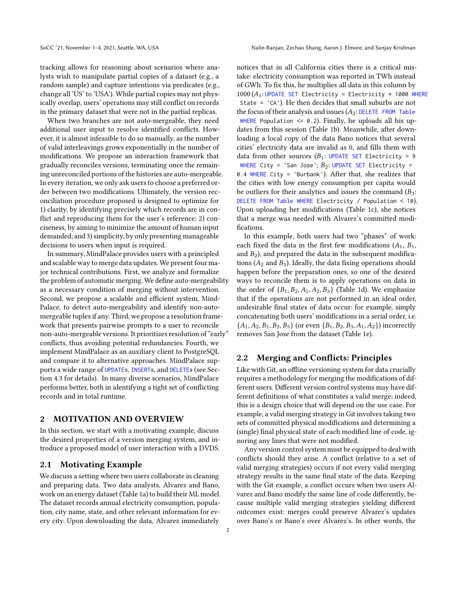tracking allows for reasoning about scenarios where analysts wish to manipulate partial copies of a dataset (e.g., a random sample) and capture intentions via predicates (e.g., change all 'US' to 'USA'). While partial copies may not physically overlap, users' operations may still conflict on records in the primary dataset that were not in the partial replicas.

When two branches are not auto-mergeable, they need additional user input to resolve identified conflicts. However, it is almost infeasible to do so manually, as the number of valid interleavings grows exponentially in the number of modifications. We propose an interaction framework that gradually reconciles versions, terminating once the remaining unreconciled portions of the histories are auto-mergeable. In every iteration, we only ask users to choose a preferred order between two modifications. Ultimately, the version reconciliation procedure proposed is designed to optimize for 1) clarity, by identifying precisely which records are in conflict and reproducing them for the user's reference; 2) conciseness, by aiming to minimize the amount of human input demanded; and 3) simplicity, by only presenting manageable decisions to users when input is required.

In summary, MindPalace provides users with a principled and scalable way to merge data updates. We present four major technical contributions. First, we analyze and formalize the problem of automatic merging.We define auto-mergeability as a necessary condition of merging without intervention. Second, we propose a scalable and efficient system, Mind-Palace, to detect auto-mergeability and identify non-automergeable tuples if any. Third, we propose a resolution framework that presents pairwise prompts to a user to reconcile non-auto-mergeable versions. It prioritizes resolution of "early" conflicts, thus avoiding potential redundancies. Fourth, we implement MindPalace as an auxiliary client to PostgreSQL and compare it to alternative approaches. MindPalace supports a wide range of UPDATEs, INSERTs, and DELETEs (see Section [4.3](#page-8-0) for details). In many diverse scenarios, MindPalace performs better, both in identifying a tight set of conflicting records and in total runtime.

# 2 MOTIVATION AND OVERVIEW

In this section, we start with a motivating example, discuss the desired properties of a version merging system, and introduce a proposed model of user interaction with a DVDS.

#### <span id="page-1-1"></span>2.1 Motivating Example

We discuss a setting where two users collaborate in cleaning and preparing data. Two data analysts, Alvarez and Bano, work on an energy dataset (Table [1a\)](#page-2-0) to build their ML model. The dataset records annual electricity consumption, population, city name, state, and other relevant information for every city. Upon downloading the data, Alvarez immediately

notices that in all California cities there is a critical mistake: electricity consumption was reported in TWh instead of GWh. To fix this, he multiplies all data in this column by  $1000 (A_1:$  UPDATE SET Electricity = Electricity \* 1000 WHERE State = 'CA'). He then decides that small suburbs are not the focus of their analysis and issues  $(A_2:$  DELETE FROM Table WHERE Population  $\leq 0.2$ ). Finally, he uploads all his updates from this session (Table [1b\)](#page-2-0). Meanwhile, after downloading a local copy of the data Bano notices that several cities' electricity data are invalid as 0, and fills them with data from other sources  $(B_1: \text{UPDATE SET} \text{ Electricity} = 9)$ WHERE City = 'San Jose';  $B_2$ : UPDATE SET Electricity = 0.4 WHERE City = 'Burbank'). After that, she realizes that the cities with low energy consumption per capita would be outliers for their analytics and issues the command  $(B_3:$ DELETE FROM Table WHERE Electricity / Population < 10). Upon uploading her modifications (Table [1c\)](#page-2-0), she notices that a merge was needed with Alvarez's committed modifications.

In this example, both users had two "phases" of work: each fixed the data in the first few modifications  $(A_1, B_1, A_2)$ and  $B_2$ ), and prepared the data in the subsequent modifications ( $A_2$  and  $B_3$ ). Ideally, the data fixing operations should happen before the preparation ones, so one of the desired ways to reconcile them is to apply operations on data in the order of  ${B_1, B_2, A_1, A_2, B_3}$  (Table [1d\)](#page-2-0). We emphasize that if the operations are not performed in an ideal order, undesirable final states of data occur: for example, simply concatenating both users' modifications in a serial order, i.e.  $\{A_1, A_2, B_1, B_2, B_3\}$  (or even  $\{B_1, B_2, B_3, A_1, A_2\}$ ) incorrectly removes San Jose from the dataset (Table [1e\)](#page-2-0).

## <span id="page-1-0"></span>2.2 Merging and Conflicts: Principles

Like with Git, an offline versioning system for data crucially requires a methodology for merging the modifications of different users. Different version control systems may have different definitions of what constitutes a valid merge; indeed, this is a design choice that will depend on the use case. For example, a valid merging strategy in Git involves taking two sets of committed physical modifications and determining a (single) final physical state of each modified line of code, ignoring any lines that were not modified.

Any version control system must be equipped to deal with conflicts should they arise. A conflict (relative to a set of valid merging strategies) occurs if not every valid merging strategy results in the same final state of the data. Keeping with the Git example, a conflict occurs when two users Alvarez and Bano modify the same line of code differently, because multiple valid merging strategies yielding different outcomes exist: merges could preserve Alvarez's updates over Bano's or Bano's over Alvarez's. In other words, the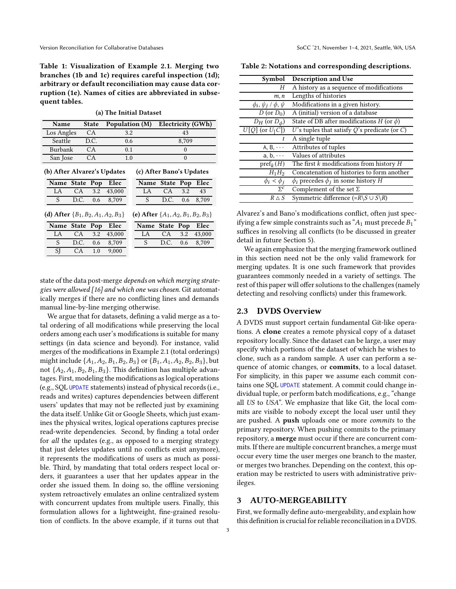<span id="page-2-0"></span>Table 1: Visualization of Example [2.1.](#page-1-1) Merging two branches [\(1b](#page-2-0) and [1c\)](#page-2-0) requires careful inspection [\(1d\)](#page-2-0); arbitrary or default reconciliation may cause data corruption [\(1e\)](#page-2-0). Names of cities are abbreviated in subsequent tables.

(a) The Initial Dataset

| <b>Name</b><br><b>State</b>                                                      |      |      | Population (M) |  | Electricity (GWh) |           |               |        |
|----------------------------------------------------------------------------------|------|------|----------------|--|-------------------|-----------|---------------|--------|
| Los Angles                                                                       |      | CA.  | 3.2            |  | 43                |           |               |        |
| Seattle                                                                          |      | D.C. | 0.6            |  | 8,709             |           |               |        |
| Burbank                                                                          |      | CA.  | 0.1            |  |                   | $\Omega$  |               |        |
| San Jose                                                                         |      | СA   | 1.0            |  | $\theta$          |           |               |        |
| (b) After Alvarez's Updates<br>(c) After Bano's Updates                          |      |      |                |  |                   |           |               |        |
| Name State Pop                                                                   |      |      | Elec           |  | <b>Name</b>       | State Pop |               | Elec   |
| LA                                                                               | CA   | 3.2  | 43,000         |  | LA                | CA        | 3.2           | 43     |
| S                                                                                | D.C. | 0.6  | 8,709          |  | S                 | D.C.      | 0.6           | 8,709  |
| (d) After ${B_1, B_2, A_1, A_2, B_3}$<br>(e) After $\{A_1, A_2, B_1, B_2, B_3\}$ |      |      |                |  |                   |           |               |        |
| Name State                                                                       |      | Pop  | Elec           |  | <b>Name</b>       | State Pop |               | Elec   |
| LA                                                                               | CA   | 3.2  | 43,000         |  | LA                | CA        | 3.2           | 43,000 |
| S                                                                                | D.C. | 0.6  | 8,709          |  | S                 | D.C.      | $0.6^{\circ}$ | 8,709  |
| SI                                                                               | CA   | 1.0  | 9.000          |  |                   |           |               |        |

state of the data post-merge depends on which merging strategies were allowed [\[16\]](#page-15-4) and which one was chosen. Git automatically merges if there are no conflicting lines and demands manual line-by-line merging otherwise.

We argue that for datasets, defining a valid merge as a total ordering of all modifications while preserving the local orders among each user's modifications is suitable for many settings (in data science and beyond). For instance, valid merges of the modifications in Example [2.1](#page-1-1) (total orderings) might include  $\{A_1, A_2, B_1, B_2, B_3\}$  or  $\{B_1, A_1, A_2, B_2, B_3\}$ , but not  $\{A_2, A_1, B_2, B_1, B_3\}$ . This definition has multiple advantages. First, modeling the modifications as logical operations (e.g., SQL UPDATE statements) instead of physical records (i.e., reads and writes) captures dependencies between different users' updates that may not be reflected just by examining the data itself. Unlike Git or Google Sheets, which just examines the physical writes, logical operations captures precise read-write dependencies. Second, by finding a total order for all the updates (e.g., as opposed to a merging strategy that just deletes updates until no conflicts exist anymore), it represents the modifications of users as much as possible. Third, by mandating that total orders respect local orders, it guarantees a user that her updates appear in the order she issued them. In doing so, the offline versioning system retroactively emulates an online centralized system with concurrent updates from multiple users. Finally, this formulation allows for a lightweight, fine-grained resolution of conflicts. In the above example, if it turns out that

<span id="page-2-1"></span>Table 2: Notations and corresponding descriptions.

| Symbol                              | Description and Use                                                          |
|-------------------------------------|------------------------------------------------------------------------------|
| Н                                   | A history as a sequence of modifications                                     |
| m, n                                | Lengths of histories                                                         |
| $\phi_i, \psi_j \, / \, \phi, \psi$ | Modifications in a given history.                                            |
| D (or $D_0$ )                       | A (initial) version of a database                                            |
| $D_H$ (or $D_\phi$ )                | State of DB after modifications $H$ (or $\phi$ )                             |
| $U[Q]$ (or $U_{\lceil}C\rceil$ )    | $U$ 's tuples that satisfy $Q$ 's predicate (or $C$ )                        |
|                                     | A single tuple                                                               |
| $A, B, \cdots$                      | Attributes of tuples                                                         |
| $a, b, \cdots$                      | Values of attributes                                                         |
| $\text{pref}_k(H)$                  | The first $k$ modifications from history $H$                                 |
| $H_1H_2$                            | Concatenation of histories to form another                                   |
| $\phi_i < \phi_j$                   | $\phi_i$ precedes $\phi_i$ in some history H                                 |
| $\Sigma^c$                          | Complement of the set $\Sigma$                                               |
| $R \wedge S$                        | Symmetric difference $(=\mathbb{R}\backslash S \cup S\backslash \mathbb{R})$ |

Alvarez's and Bano's modifications conflict, often just specifying a few simple constraints such as " $A_1$  must precede  $B_1$ " suffices in resolving all conflicts (to be discussed in greater detail in future Section [5\)](#page-9-0).

We again emphasize that the merging framework outlined in this section need not be the only valid framework for merging updates. It is one such framework that provides guarantees commonly needed in a variety of settings. The rest of this paper will offer solutions to the challenges (namely detecting and resolving conflicts) under this framework.

# 2.3 DVDS Overview

A DVDS must support certain fundamental Git-like operations. A clone creates a remote physical copy of a dataset repository locally. Since the dataset can be large, a user may specify which portions of the dataset of which he wishes to clone, such as a random sample. A user can perform a sequence of atomic changes, or commits, to a local dataset. For simplicity, in this paper we assume each commit contains one SQL UPDATE statement. A commit could change individual tuple, or perform batch modifications, e.g., "change all US to USA". We emphasize that like Git, the local commits are visible to nobody except the local user until they are pushed. A push uploads one or more commits to the primary repository. When pushing commits to the primary repository, a merge must occur if there are concurrent commits. If there are multiple concurrent branches, a merge must occur every time the user merges one branch to the master, or merges two branches. Depending on the context, this operation may be restricted to users with administrative privileges.

## 3 AUTO-MERGEABILITY

First, we formally define auto-mergeability, and explain how this definition is crucial for reliable reconciliation in a DVDS.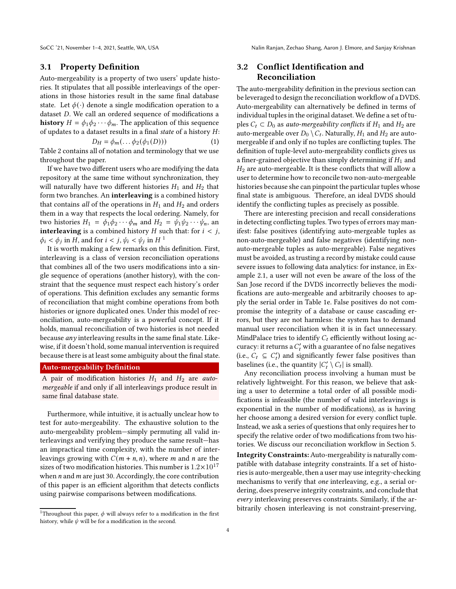SoCC '21, November 1–4, 2021, Seattle, WA, USA Nalin Ranjan, Zechao Shang, Aaron J. Elmore, and Sanjay Krishnan

## 3.1 Property Definition

Auto-mergeability is a property of two users' update histories. It stipulates that all possible interleavings of the operations in those histories result in the same final database state. Let  $\phi(\cdot)$  denote a single modification operation to a dataset D. We call an ordered sequence of modifications a **history**  $H = \phi_1 \phi_2 \cdots \phi_m$ . The application of this sequence of updates to a dataset results in a final state of a history  $H$ :

$$
D_H = \phi_m(\dots \phi_2(\phi_1(D)))\tag{1}
$$

Table [2](#page-2-1) contains all of notation and terminology that we use throughout the paper.

If we have two different users who are modifying the data repository at the same time without synchronization, they will naturally have two different histories  $H_1$  and  $H_2$  that form two branches. An interleaving is a combined history that contains *all* of the operations in  $H_1$  and  $H_2$  and orders them in a way that respects the local ordering. Namely, for two histories  $H_1 = \phi_1 \phi_2 \cdots \phi_m$  and  $H_2 = \psi_1 \psi_2 \cdots \psi_n$ , an **interleaving** is a combined history  $H$  such that: for  $i < j$ ,  $\phi_i < \phi_j$  in H, and for  $i < j$ ,  $\psi_i < \psi_j$  in H<sup>[1](#page-3-0)</sup>

It is worth making a few remarks on this definition. First, interleaving is a class of version reconciliation operations that combines all of the two users modifications into a single sequence of operations (another history), with the constraint that the sequence must respect each history's order of operations. This definition excludes any semantic forms of reconciliation that might combine operations from both histories or ignore duplicated ones. Under this model of reconciliation, auto-mergeability is a powerful concept. If it holds, manual reconciliation of two histories is not needed because  $any$  interleaving results in the same final state. Likewise, if it doesn't hold, some manual intervention is required because there is at least some ambiguity about the final state.

## Auto-mergeability Definition

A pair of modification histories  $H_1$  and  $H_2$  are *auto*mergeable if and only if all interleavings produce result in same final database state.

Furthermore, while intuitive, it is actually unclear how to test for auto-mergeability. The exhaustive solution to the auto-mergeability problem—simply permuting all valid interleavings and verifying they produce the same result—has an impractical time complexity, with the number of interleavings growing with  $C(m + n, n)$ , where *m* and *n* are the sizes of two modification histories. This number is  $1.2 \times 10^{17}$ when  $n$  and  $m$  are just 30. Accordingly, the core contribution of this paper is an efficient algorithm that detects conflicts using pairwise comparisons between modifications.

# 3.2 Conflict Identification and Reconciliation

The auto-mergeability definition in the previous section can be leveraged to design the reconciliation workflow of a DVDS. Auto-mergeability can alternatively be defined in terms of individual tuples in the original dataset. We define a set of tuples  $C_t \subset D_0$  as *auto-mergeability conflicts* if  $H_1$  and  $H_2$  are auto-mergeable over  $D_0 \setminus C_t$ . Naturally,  $H_1$  and  $H_2$  are automergeable if and only if no tuples are conflicting tuples. The definition of tuple-level auto-mergeability conflicts gives us a finer-grained objective than simply determining if  $H_1$  and  $H<sub>2</sub>$  are auto-mergeable. It is these conflicts that will allow a user to determine how to reconcile two non-auto-mergeable histories because she can pinpoint the particular tuples whose final state is ambiguous. Therefore, an ideal DVDS should identify the conflicting tuples as precisely as possible.

There are interesting precision and recall considerations in detecting conflicting tuples. Two types of errors may manifest: false positives (identifying auto-mergeable tuples as non-auto-mergeable) and false negatives (identifying nonauto-mergeable tuples as auto-mergeable). False negatives must be avoided, as trusting a record by mistake could cause severe issues to following data analytics: for instance, in Example [2.1,](#page-1-1) a user will not even be aware of the loss of the San Jose record if the DVDS incorrectly believes the modifications are auto-mergeable and arbitrarily chooses to apply the serial order in Table [1e.](#page-2-0) False positives do not compromise the integrity of a database or cause cascading errors, but they are not harmless: the system has to demand manual user reconciliation when it is in fact unnecessary. MindPalace tries to identify  $C_t$  efficiently without losing accuracy: it returns a  $C_t^\prime$  with a guarantee of no false negatives (i.e.,  $C_t \subseteq C_t'$ ) and significantly fewer false positives than baselines (i.e., the quantity  $|C_t' \setminus C_t|$  is small).

Any reconciliation process involving a human must be relatively lightweight. For this reason, we believe that asking a user to determine a total order of all possible modifications is infeasible (the number of valid interleavings is exponential in the number of modifications), as is having her choose among a desired version for every conflict tuple. Instead, we ask a series of questions that only requires her to specify the relative order of two modifications from two histories. We discuss our reconciliation workflow in Section [5.](#page-9-0)

Integrity Constraints:Auto-mergeability is naturally compatible with database integrity constraints. If a set of histories is auto-mergeable, then a user may use integrity-checking mechanisms to verify that one interleaving, e.g., a serial ordering, does preserve integrity constraints, and conclude that every interleaving preserves constraints. Similarly, if the arbitrarily chosen interleaving is not constraint-preserving,

<span id="page-3-0"></span><sup>&</sup>lt;sup>1</sup>Throughout this paper,  $\phi$  will always refer to a modification in the first history, while  $\psi$  will be for a modification in the second.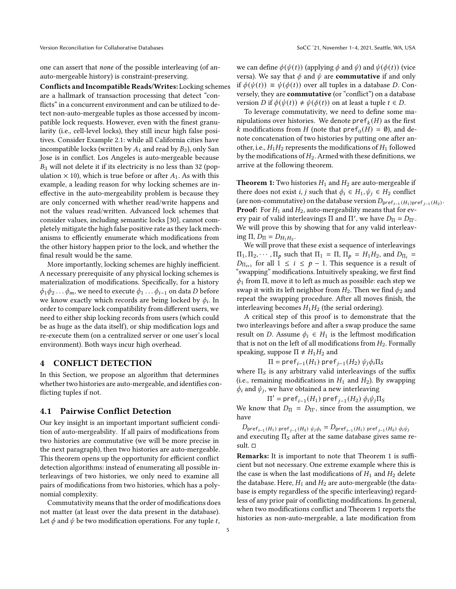one can assert that none of the possible interleaving (of anauto-mergeable history) is constraint-preserving.

Conflicts and Incompatible Reads/Writes: Locking schemes are a hallmark of transaction processing that detect "conflicts" in a concurrent environment and can be utilized to detect non-auto-mergeable tuples as those accessed by incompatible lock requests. However, even with the finest granularity (i.e., cell-level locks), they still incur high false positives. Consider Example [2.1:](#page-1-1) while all California cities have incompatible locks (written by  $A_1$  and read by  $B_3$ ), only San Jose is in conflict. Los Angeles is auto-mergeable because  $B_3$  will not delete it if its electricity is no less than 32 (population  $\times$  10), which is true before or after  $A_1$ . As with this example, a leading reason for why locking schemes are ineffective in the auto-mergeability problem is because they are only concerned with whether read/write happens and not the values read/written. Advanced lock schemes that consider values, including semantic locks [\[30\]](#page-16-4), cannot completely mitigate the high false positive rate as they lack mechanisms to efficiently enumerate which modifications from the other history happen prior to the lock, and whether the final result would be the same.

More importantly, locking schemes are highly inefficient. A necessary prerequisite of any physical locking schemes is materialization of modifications. Specifically, for a history  $\phi_1\phi_2 \ldots \phi_m$ , we need to execute  $\phi_1 \ldots \phi_{i-1}$  on data D before we know exactly which records are being locked by  $\phi_i$ . In order to compare lock compatibility from different users, we need to either ship locking records from users (which could be as huge as the data itself), or ship modification logs and re-execute them (on a centralized server or one user's local environment). Both ways incur high overhead.

## 4 CONFLICT DETECTION

In this Section, we propose an algorithm that determines whether two histories are auto-mergeable, and identifies conflicting tuples if not.

#### <span id="page-4-0"></span>4.1 Pairwise Conflict Detection

Our key insight is an important important sufficient condition of auto-mergeability. If all pairs of modifications from two histories are commutative (we will be more precise in the next paragraph), then two histories are auto-mergeable. This theorem opens up the opportunity for efficient conflict detection algorithms: instead of enumerating all possible interleavings of two histories, we only need to examine all pairs of modifications from two histories, which has a polynomial complexity.

Commutativity means that the order of modifications does not matter (at least over the data present in the database). Let  $\phi$  and  $\psi$  be two modification operations. For any tuple t,

we can define  $\phi(\psi(t))$  (applying  $\phi$  and  $\psi$ ) and  $\psi(\phi(t))$  (vice versa). We say that  $\phi$  and  $\psi$  are **commutative** if and only if  $\phi(\psi(t)) \equiv \psi(\phi(t))$  over all tuples in a database *D*. Conversely, they are **commutative** (or "conflict") on a database version D if  $\phi(\psi(t)) \neq \psi(\phi(t))$  on at least a tuple  $t \in D$ .

To leverage commutativity, we need to define some manipulations over histories. We denote  $\mathsf{pref}_k(H)$  as the first k modifications from H (note that  $\text{pref}_0(H) = \emptyset$ ), and denote concatenation of two histories by putting one after another, i.e.,  $H_1H_2$  represents the modifications of  $H_1$  followed by the modifications of  $H_2$ . Armed with these definitions, we arrive at the following theorem.

**Theorem 1:** Two histories  $H_1$  and  $H_2$  are auto-mergeable if there does not exist *i*, *j* such that  $\phi_i \in H_1, \psi_j \in H_2$  conflict (are non-commutative) on the database version  $D_{\mathsf{pref}_{i-1}(H_1)\mathsf{pref}_{j-1}(H_2)}.$ **Proof:** For  $H_1$  and  $H_2$ , auto-mergeability means that for every pair of valid interleavings  $\Pi$  and  $\Pi'$ , we have  $D_{\Pi} = D_{\Pi'}$ . We will prove this by showing that for any valid interleaving Π,  $D_{\Pi} = D_{H_1 H_2}$ .

We will prove that these exist a sequence of interleavings  $\Pi_1, \Pi_2, \cdots, \Pi_p$  such that  $\Pi_1 = \Pi, \Pi_p = H_1 H_2$ , and  $D_{\Pi_i} =$  $D_{\Pi_{i+1}}$  for all  $1 \leq i \leq p-1$ . This sequence is a result of "swapping" modifications. Intuitively speaking, we first find  $\phi_1$  from  $\Pi$ , move it to left as much as possible: each step we swap it with its left neighbor from  $H_2$ . Then we find  $\phi_2$  and repeat the swapping procedure. After all moves finish, the interleaving becomes  $H_1H_2$  (the serial ordering).

A critical step of this proof is to demonstrate that the two interleavings before and after a swap produce the same result on *D*. Assume  $\phi_i \in H_1$  is the leftmost modification that is not on the left of all modifications from  $H_2$ . Formally speaking, suppose  $\Pi \neq H_1 H_2$  and

 $\Pi = \mathsf{pref}_{i-1}(H_1) \mathsf{pref}_{j-1}(H_2) \psi_j \phi_i \Pi_S$ 

where  $\Pi_S$  is any arbitrary valid interleavings of the suffix (i.e., remaining modifications in  $H_1$  and  $H_2$ ). By swapping  $\phi_i$  and  $\psi_j$ , we have obtained a new interleaving

 $\Pi'$  = pre ${\sf f}_{i-1}(H_1)$  pre ${\sf f}_{j-1}(H_2)$   $\phi_i\psi_j\Pi_S$ 

We know that  $D_{\Pi} = D_{\Pi'}$ , since from the assumption, we have

 $D_{\text{pref}_{i-1}(H_1)}$  pref<sub>j-1</sub>( $H_2$ )  $\psi_j \phi_i = D_{\text{pref}_{i-1}(H_1)}$  pref<sub>j-1</sub>( $H_2$ )  $\phi_i \psi_j$ and executing  $\Pi_S$  after at the same database gives same result.  $\Box$ 

Remarks: It is important to note that Theorem 1 is sufficient but not necessary. One extreme example where this is the case is when the last modifications of  $H_1$  and  $H_2$  delete the database. Here,  $H_1$  and  $H_2$  are auto-mergeable (the database is empty regardless of the specific interleaving) regardless of any prior pair of conflicting modifications. In general, when two modifications conflict and Theorem 1 reports the histories as non-auto-mergeable, a late modification from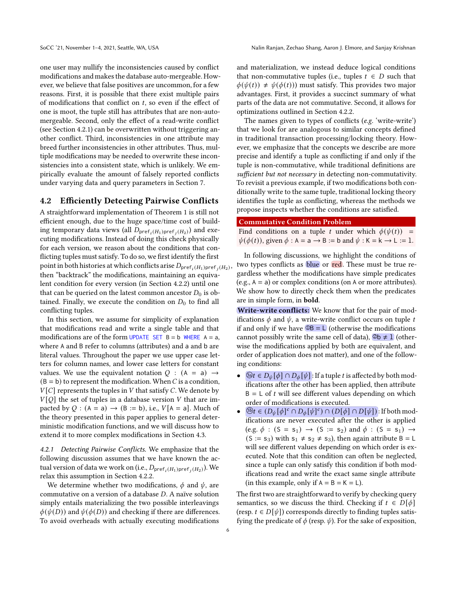one user may nullify the inconsistencies caused by conflict modifications and makes the database auto-mergeable. However, we believe that false positives are uncommon, for a few reasons. First, it is possible that there exist multiple pairs of modifications that conflict on  $t$ , so even if the effect of one is moot, the tuple still has attributes that are non-automergeable. Second, only the effect of a read-write conflict (see Section [4.2.1\)](#page-5-0) can be overwritten without triggering another conflict. Third, inconsistencies in one attribute may breed further inconsistencies in other attributes. Thus, multiple modifications may be needed to overwrite these inconsistencies into a consistent state, which is unlikely. We empirically evaluate the amount of falsely reported conflicts under varying data and query parameters in Section [7.](#page-11-0)

## 4.2 Efficiently Detecting Pairwise Conflicts

A straightforward implementation of Theorem 1 is still not efficient enough, due to the huge space/time cost of building temporary data views (all  $D_{\text{pref}_i(H_1)\text{pref}_j(H_2)}$ ) and executing modifications. Instead of doing this check physically for each version, we reason about the conditions that conflicting tuples must satisfy. To do so, we first identify the first point in both histories at which conflicts arise  $D_{\mathsf{pref}_i(H_1)\mathsf{pref}_j(H_2)},$ then "backtrack" the modifications, maintaining an equivalent condition for every version (in Section [4.2.2\)](#page-7-0) until one that can be queried on the latest common ancestor  $D_0$  is obtained. Finally, we execute the condition on  $D_0$  to find all conflicting tuples.

In this section, we assume for simplicity of explanation that modifications read and write a single table and that modifications are of the form UPDATE SET  $B = b$  WHERE  $A = a$ , where A and B refer to columns (attributes) and a and b are literal values. Throughout the paper we use upper case letters for column names, and lower case letters for constant values. We use the equivalent notation  $Q$  :  $(A = a) \rightarrow$  $(B = b)$  to represent the modification. When C is a condition,  $V[C]$  represents the tuples in V that satisfy C. We denote by  $V[Q]$  the set of tuples in a database version V that are impacted by Q :  $(A = a) \rightarrow (B := b)$ , i.e.,  $V[A = a]$ . Much of the theory presented in this paper applies to general deterministic modification functions, and we will discuss how to extend it to more complex modifications in Section [4.3.](#page-8-0)

<span id="page-5-0"></span>4.2.1 Detecting Pairwise Conflicts. We emphasize that the following discussion assumes that we have known the actual version of data we work on (i.e.,  $D_{\mathsf{pref}_i(H_1)\mathsf{pref}_j(H_2)}$ ). We relax this assumption in Section [4.2.2.](#page-7-0)

We determine whether two modifications,  $\phi$  and  $\psi$ , are commutative on a version of a database  $D$ . A naïve solution simply entails materializing the two possible interleavings  $\phi(\psi(D))$  and  $\psi(\phi(D))$  and checking if there are differences. To avoid overheads with actually executing modifications

and materialization, we instead deduce logical conditions that non-commutative tuples (i.e., tuples  $t \in D$  such that  $\phi(\psi(t)) \neq \psi(\phi(t))$  must satisfy. This provides two major advantages. First, it provides a succinct summary of what parts of the data are not commutative. Second, it allows for optimizations outlined in Section [4.2.2.](#page-7-0)

The names given to types of conflicts (e.g. 'write-write') that we look for are analogous to similar concepts defined in traditional transaction processing/locking theory. However, we emphasize that the concepts we describe are more precise and identify a tuple as conflicting if and only if the tuple is non-commutative, while traditional definitions are sufficient but not necessary in detecting non-commutativity. To revisit a previous example, if two modifications both conditionally write to the same tuple, traditional locking theory identifies the tuple as conflicting, whereas the methods we propose inspects whether the conditions are satisfied.

#### Commutative Condition Problem

Find conditions on a tuple t under which  $\phi(\psi(t))$  =  $\psi(\phi(t))$ , given  $\phi : A = a \rightarrow B := b$  and  $\psi : K = k \rightarrow L := 1$ .

In following discussions, we highlight the conditions of two types conflicts as blue or red. These must be true regardless whether the modifications have simple predicates (e.g.,  $A = a$ ) or complex conditions (on A or more attributes). We show how to directly check them when the predicates are in simple form, in bold.

Write-write conflicts: We know that for the pair of modifications  $\phi$  and  $\psi$ , a write-write conflict occurs on tuple t if and only if we have  $\mathbb{O}_B = L$  (otherwise the modifications cannot possibly write the same cell of data),  $\mathcal{D}b \neq 1$  (otherwise the modifications applied by both are equivalent, and order of application does not matter), and one of the following conditions:

- $\mathcal{B}t \in D_{\psi}[\phi] \cap D_{\phi}[\psi]$ : If a tuple t is affected by both modifications after the other has been applied, then attribute  $B = L$  of t will see different values depending on which order of modifications is executed.
- $\mathbb{B}_t \in (D_{\psi}[\phi]^{c} \cap D_{\phi}[\psi]^{c}) \cap (D[\phi] \cap D[\psi])$ : If both modifications are never executed after the other is applied (e.g.  $\phi$  : (S = s<sub>1</sub>)  $\rightarrow$  (S := s<sub>2</sub>) and  $\phi$  : (S = s<sub>1</sub>)  $\rightarrow$  $(S := s_3)$  with  $s_1 \neq s_2 \neq s_3$ , then again attribute B = L will see different values depending on which order is executed. Note that this condition can often be neglected, since a tuple can only satisfy this condition if both modifications read and write the exact same single attribute (in this example, only if  $A = B = K = L$ ).

The first two are straightforward to verify by checking query semantics, so we discuss the third. Checking if  $t \in D[\phi]$ (resp.  $t \in D[\psi]$ ) corresponds directly to finding tuples satisfying the predicate of  $\phi$  (resp.  $\psi$ ). For the sake of exposition,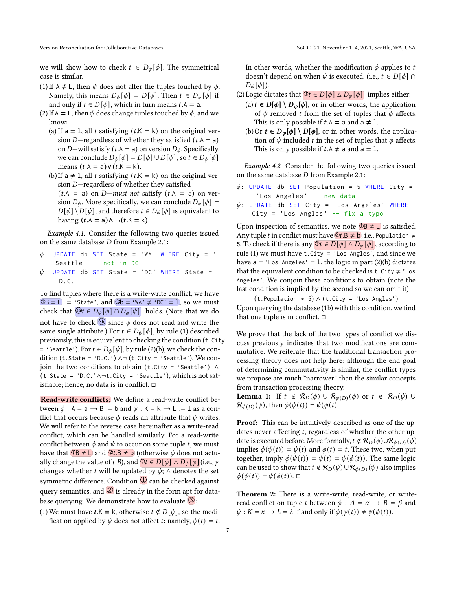we will show how to check  $t \in D_{\psi}[\phi]$ . The symmetrical case is similar.

- (1) If A  $\neq$  L, then  $\psi$  does not alter the tuples touched by  $\phi$ . Namely, this means  $D_{\psi}[\phi] = D[\phi]$ . Then  $t \in D_{\psi}[\phi]$  if and only if  $t \in D[\phi]$ , which in turn means  $t.A = a$ .
- (2) If A = L, then  $\psi$  does change tuples touched by  $\phi$ , and we know:
	- (a) If  $a = 1$ , all t satisfying  $(t.K = k)$  on the original version D-regardless of whether they satisfied  $(t.A = a)$ on D—will satisfy ( $t.A = a$ ) on version  $D_{\psi}$ . Specifically, we can conclude  $D_{\psi}[\phi] = D[\phi] \cup D[\psi]$ , so  $t \in D_{\psi}[\phi]$ means  $(t.A = a) \vee (t.K = k)$ .
	- (b) If a  $\neq$  1, all t satisfying (t.K = k) on the original version  $D$ —regardless of whether they satisfied  $(t.A = a)$  on  $D-must$  not satisfy  $(t.A = a)$  on version  $D_{\psi}$ . More specifically, we can conclude  $D_{\psi}[\phi] =$  $D[\phi] \setminus D[\psi]$ , and therefore  $t \in D_{\psi}[\phi]$  is equivalent to having  $(t.A = a) \land \neg(t.K = k)$ .

Example 4.1. Consider the following two queries issued on the same database  $D$  from Example [2.1:](#page-1-1)

 $\phi$ : UPDATE db SET State = 'WA' WHERE City = ' Seattle' -- not in DC  $\psi$ : UPDATE db SET State = 'DC' WHERE State = 'D . C. '

To find tuples where there is a write-write conflict, we have  $\overline{OB} = L$  = 'State', and  $\overline{Ob}$  = 'WA'  $\neq$  'DC' = 1, so we must check that  $\mathcal{B}_t \in D_{\psi}[\phi] \cap D_{\phi}[\psi]$  holds. (Note that we do not have to check  $\circled{b}$  since  $\phi$  does not read and write the same single attribute.) For  $t \in D_{\psi}[\phi]$ , by rule (1) described previously, this is equivalent to checking the condition (t.City = 'Seattle'). For  $t \in D_{\phi}[\psi]$ , by rule (2)(b), we check the condition (t. State = 'D.C.')  $\land \neg$  (t. City = 'Seattle'). We conjoin the two conditions to obtain (t.City = 'Seattle') ∧ (t.State = 'D.C.'∧¬t.City = 'Seattle'), which is not satisfiable; hence, no data is in conflict.

Read-write conflicts: We define a read-write conflict between  $\phi$  : A = a  $\rightarrow$  B := b and  $\psi$  : K = k  $\rightarrow$  L := 1 as a conflict that occurs because  $\phi$  reads an attribute that  $\psi$  writes. We will refer to the reverse case hereinafter as a write-read conflict, which can be handled similarly. For a read-write conflict between  $\phi$  and  $\psi$  to occur on some tuple t, we must have that  $\overline{OB} \neq \underline{L}$  and  $\overline{Q}t.B \neq \underline{b}$  (otherwise  $\phi$  does not actually change the value of *t*.*B*), and  $\mathcal{F} \in D[\phi] \triangle D_{\psi}[\phi]$  (i.e.,  $\psi$ changes whether t will be updated by  $\phi$ ;  $\triangle$  denotes the set symmetric difference. Condition  $\overline{0}$  can be checked against query semantics, and  $\overline{2}$  is already in the form apt for database querying. We demonstrate how to evaluate  $\mathbf{\mathcal{F}}$ :

(1) We must have  $t.K = k$ , otherwise  $t \notin D[\psi]$ , so the modification applied by  $\psi$  does not affect *t*: namely,  $\psi(t) = t$ . In other words, whether the modification  $\phi$  applies to t doesn't depend on when  $\psi$  is executed. (i.e.,  $t \in D[\phi] \cap$  $D_{\psi}[\phi]$ ).

- (2) Logic dictates that  $\mathcal{F} \in D[\phi] \triangle D_{\psi}[\phi]$  implies either:
	- (a)  $t \in D[\phi] \setminus D_{\psi}[\phi]$ , or in other words, the application of  $\psi$  removed t from the set of tuples that  $\phi$  affects. This is only possible if  $t.A = a$  and  $a \neq 1$ .
	- (b) Or  $t \in D_{\psi}[\phi] \setminus D[\phi]$ , or in other words, the application of  $\psi$  included  $t$  in the set of tuples that  $\phi$  affects. This is only possible if  $t.A \neq a$  and  $a = 1$ .

Example 4.2. Consider the following two queries issued on the same database  $D$  from Example [2.1:](#page-1-1)

- $\phi$ : UPDATE db SET Population = 5 WHERE City = 'Los Angeles' -- new data
- $\psi$ : UPDATE db SET City = 'Los Angeles' WHERE  $City = 'Los Angles' -- fix a type$

Upon inspection of semantics, we note  $\overline{OB} \neq L$  is satisfied. Any tuple t in conflict must have  $\mathcal{Q}_t \mathbf{B} \neq \mathbf{b}$ , i.e., Population  $\neq$ 5. To check if there is any  $\mathcal{F} \in D[\phi] \triangle D_{\psi}[\phi]$ , according to rule (1) we must have  $t.City = 'Los Angles', and since we$ have  $a = 'Los$  Angeles' = 1, the logic in part (2)(b) dictates that the equivalent condition to be checked is t.City  $\neq$  'Los Angeles'. We conjoin these conditions to obtain (note the last condition is implied by the second so we can omit it)

 $(t.Population \neq 5) \wedge (t.City = 'Los Angles')$ Upon querying the database [\(1b\)](#page-2-0) with this condition, we find that one tuple is in conflict.  $\square$ 

We prove that the lack of the two types of conflict we discuss previously indicates that two modifications are commutative. We reiterate that the traditional transaction processing theory does not help here: although the end goal of determining commutativity is similar, the conflict types we propose are much "narrower" than the similar concepts from transaction processing theory.

**Lemma 1:** If  $t \notin \mathcal{R}_D(\phi) \cup \mathcal{R}_{\psi(D)}(\phi)$  or  $t \notin \mathcal{R}_D(\psi) \cup \mathcal{R}_{\psi(D)}(\phi)$  $\mathcal{R}_{\phi(D)}(\psi)$ , then  $\phi(\psi(t)) = \psi(\phi(t))$ .

Proof: This can be intuitively described as one of the updates never affecting  $t$ , regardless of whether the other update is executed before. More formally,  $t \notin \mathcal{R}_D(\phi) \cup \mathcal{R}_{\psi(D)}(\phi)$ implies  $\phi(\psi(t)) = \psi(t)$  and  $\phi(t) = t$ . These two, when put together, imply  $\phi(\psi(t)) = \psi(t) = \psi(\phi(t))$ . The same logic can be used to show that  $t \notin \mathcal{R}_D(\psi) \cup \mathcal{R}_{\phi(D)}(\psi)$  also implies  $\phi(\psi(t)) = \psi(\phi(t)). \ \Box$ 

Theorem 2: There is a write-write, read-write, or writeread conflict on tuple t between  $\phi : A = \alpha \rightarrow B = \beta$  and  $\psi$  :  $K = \kappa \rightarrow L = \lambda$  if and only if  $\phi(\psi(t)) \neq \psi(\phi(t))$ .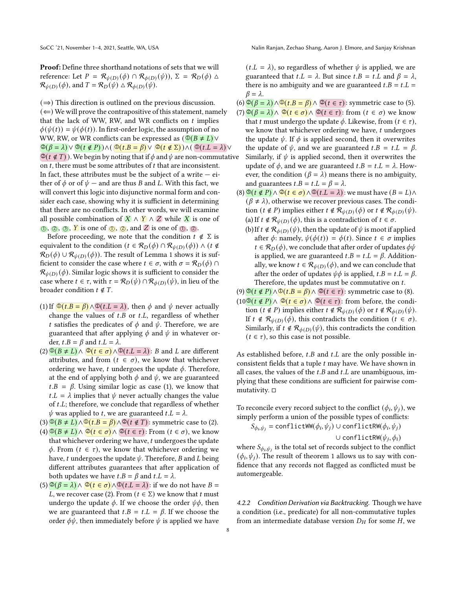Proof: Define three shorthand notations of sets that we will reference: Let  $P = \mathcal{R}_{\psi(D)}(\phi) \cap \mathcal{R}_{\phi(D)}(\psi)$ ,  $\Sigma = \mathcal{R}_{D}(\phi) \triangle$  $\mathcal{R}_{\psi(D)}(\phi)$ , and  $T = \mathcal{R}_D(\psi) \triangle \mathcal{R}_{\phi(D)}(\psi)$ .

 $(\Rightarrow)$  This direction is outlined on the previous discussion.  $(\Leftarrow)$  We will prove the contrapositive of this statement, namely that the lack of WW, RW, and WR conflicts on  $t$  implies  $\phi(\psi(t)) = \psi(\phi(t))$ . In first-order logic, the assumption of no WW, RW, or WR conflicts can be expressed as  $(\mathbb{Q}(B \neq L)) \vee$  $\mathcal{Q}(\beta = \lambda) \vee \mathcal{Q}(t \notin P)) \wedge (\mathcal{Q}(t \cdot \beta = \beta) \vee \mathcal{Q}(t \notin \Sigma)) \wedge (\mathcal{Q}(t \cdot L = \lambda) \vee \mathcal{Q}(t \cdot \beta = \beta))$  $\mathcal{Q}(t \notin T)$ ). We begin by noting that if  $\phi$  and  $\psi$  are non-commutative on  $t$ , there must be some attributes of  $t$  that are inconsistent. In fact, these attributes must be the subject of a write  $-$  either of  $\phi$  or of  $\psi$  — and are thus B and L. With this fact, we will convert this logic into disjunctive normal form and consider each case, showing why it is sufficient in determining that there are no conflicts. In other words, we will examine all possible combination of  $\mathbf{X} \wedge \mathbf{Y} \wedge \mathbf{Z}$  while  $\mathbf{X}$  is one of  $\circled{1}$ ,  $\circled{2}$ ,  $\circled{3}$ ,  $\circled{Y}$  is one of  $\circled{1}$ ,  $\circled{2}$ , and  $\circled{Z}$  is one of  $\circled{1}$ ,  $\circled{2}$ .

Before proceeding, we note that the condition  $t \notin \Sigma$  is equivalent to the condition  $(t \in \mathcal{R}_D(\phi) \cap \mathcal{R}_{\psi(D)}(\phi)) \wedge (t \notin \phi)$  $\mathcal{R}_D(\phi) \cup \mathcal{R}_{\psi(D)}(\phi)$ ). The result of Lemma 1 shows it is sufficient to consider the case where  $t \in \sigma$ , with  $\sigma = \mathcal{R}_D(\phi) \cap \mathcal{R}_D(\phi)$  $\mathcal{R}_{\psi(D)}(\phi).$  Similar logic shows it is sufficient to consider the case where  $t \in \tau$ , with  $\tau = \mathcal{R}_D(\psi) \cap \mathcal{R}_{\phi(D)}(\psi)$ , in lieu of the broader condition  $t \notin T$ .

- (1) If  $\Phi(t, B = \beta) \wedge \Phi(t, L = \lambda)$ , then  $\phi$  and  $\psi$  never actually change the values of  $t.B$  or  $t.L$ , regardless of whether t satisfies the predicates of  $\phi$  and  $\psi$ . Therefore, we are guaranteed that after applying  $\phi$  and  $\psi$  in whatever order,  $t.B = \beta$  and  $t.L = \lambda$ .
- $(2)$   $\overline{\mathbb{Q}(B \neq L)} \wedge \overline{\mathbb{Q}(t \in \sigma)} \wedge \overline{\mathbb{Q}(t \neq L)}$ : B and L are different attributes, and from  $(t \in \sigma)$ , we know that whichever ordering we have, t undergoes the update  $\phi$ . Therefore, at the end of applying both  $\phi$  and  $\psi$ , we are guaranteed  $t.B = \beta$ . Using similar logic as case (1), we know that  $t.L = \lambda$  implies that  $\psi$  never actually changes the value of  $t.L$ ; therefore, we conclude that regardless of whether  $\psi$  was applied to *t*, we are guaranteed *t*.*L* =  $\lambda$ .
- $(3) \mathbb{O}(B \neq L) \wedge \mathbb{O}(t \cdot B = \beta) \wedge \mathbb{O}(t \notin T)$ : symmetric case to (2).
- $(4) \mathbb{D}(B \neq L) \wedge \mathbb{D}(t \in \sigma) \wedge \mathbb{D}(t \in \tau)$ : From  $(t \in \sigma)$ , we know that whichever ordering we have,  $t$  undergoes the update  $\phi$ . From  $(t \in \tau)$ , we know that whichever ordering we have, t undergoes the update  $\psi$ . Therefore, B and L being different attributes guarantees that after application of both updates we have  $t.B = \beta$  and  $t.L = \lambda$ .
- $(5)$   $\mathcal{O}(\beta = \lambda) \wedge \mathcal{O}(t \in \sigma) \wedge \mathcal{O}(t.L = \lambda)$ : if we do not have  $B =$ *L*, we recover case (2). From ( $t \in \Sigma$ ) we know that t must undergo the update  $\phi$ . If we choose the order  $\psi\phi$ , then we are guaranteed that  $t.B = t.L = \beta$ . If we choose the order  $\phi\psi$ , then immediately before  $\psi$  is applied we have

 $(t.L = \lambda)$ , so regardless of whether  $\psi$  is applied, we are guaranteed that  $t.L = \lambda$ . But since  $t.B = t.L$  and  $\beta = \lambda$ , there is no ambiguity and we are guaranteed  $t.B = t.L$  =  $\beta = \lambda$ .

- (6)  $\mathbb{Q}(\beta = \lambda) \wedge \mathbb{Q}(t \cdot \beta = \beta) \wedge \mathbb{Q}(t \in \tau)$ : symmetric case to (5).
- $(7)$   $\mathcal{Q}(\beta = \lambda) \wedge \mathcal{Q}(t \in \sigma) \wedge \mathcal{Q}(t \in \tau)$ : from  $(t \in \sigma)$  we know that t must undergo the update  $\phi$ . Likewise, from  $(t \in \tau)$ , we know that whichever ordering we have,  $t$  undergoes the update  $\psi$ . If  $\phi$  is applied second, then it overwrites the update of  $\psi$ , and we are guaranteed  $t.B = t.L = \beta$ . Similarly, if  $\psi$  is applied second, then it overwrites the update of  $\phi$ , and we are guaranteed  $t.B = t.L = \lambda$ . However, the condition ( $\beta = \lambda$ ) means there is no ambiguity, and guarantees  $t.B = t.L = \beta = \lambda$ .
- $(8)$   $\mathbb{Q}(t \notin P) \wedge \mathbb{Q}(t \in \sigma) \wedge \mathbb{Q}(t \in \lambda)$ : we must have  $(B = L) \wedge$  $(\beta \neq \lambda)$ , otherwise we recover previous cases. The condition  $(t \notin P)$  implies either  $t \notin \mathcal{R}_{\psi(D)}(\phi)$  or  $t \notin \mathcal{R}_{\phi(D)}(\psi)$ . (a) If  $t \notin \mathcal{R}_{\psi(D)}(\phi)$ , this is a contradiction of  $t \in \sigma$ .
	- (b) If  $t \notin \mathcal{R}_{\phi(D)}(\psi)$ , then the update of  $\psi$  is moot if applied after  $\phi$ : namely,  $\psi(\phi(t)) = \phi(t)$ . Since  $t \in \sigma$  implies  $t \in \mathcal{R}_D(\phi)$ , we conclude that after order of updates  $\phi\psi$ is applied, we are guaranteed  $t.B = t.L = \beta$ . Additionally, we know  $t \in \mathcal{R}_{\psi(D)}(\phi)$ , and we can conclude that after the order of updates  $\psi \phi$  is applied,  $t.B = t.L = \beta$ . Therefore, the updates must be commutative on  $t$ .
- (9)  $\mathbb{S}(t \notin P) \wedge \mathbb{O}(t.B = \beta) \wedge \mathbb{O}(t \in \tau)$ : symmetric case to (8).
- $(10^{\circledR}(t \notin P) \wedge \mathcal{O}(t \in \sigma) \wedge \mathcal{O}(t \in \tau))$ : from before, the condition  $(t \notin P)$  implies either  $t \notin \mathcal{R}_{\psi(D)}(\phi)$  or  $t \notin \mathcal{R}_{\phi(D)}(\psi)$ . If  $t \notin \mathcal{R}_{\psi(D)}(\phi)$ , this contradicts the condition  $(t \in \sigma)$ . Similarly, if  $t \notin \mathcal{R}_{\phi(D)}(\psi)$ , this contradicts the condition  $(t \in \tau)$ , so this case is not possible.

As established before,  $t.B$  and  $t.L$  are the only possible inconsistent fields that a tuple  $t$  may have. We have shown in all cases, the values of the  $t.B$  and  $t.L$  are unambiguous, implying that these conditions are sufficient for pairwise commutativity.  $\Box$ 

To reconcile every record subject to the conflict  $(\phi_i, \psi_j)$ , we simply perform a union of the possible types of conflicts:

 $S_{\phi_i, \psi_j} = \text{conflictWW}(\phi_i, \psi_j) \cup \text{conflictRW}(\phi_i, \psi_j)$ 

$$
\cup \; \mathsf{conflictRW}(\psi_j,\phi_i)
$$

where  $S_{\phi_i, \psi_j}$  is the total set of records subject to the conflict  $(\phi_i, \psi_j)$ . The result of theorem 1 allows us to say with confidence that any records not flagged as conflicted must be automergeable.

<span id="page-7-0"></span>4.2.2 Condition Derivation via Backtracking. Though we have a condition (i.e., predicate) for all non-commutative tuples from an intermediate database version  $D_H$  for some  $H$ , we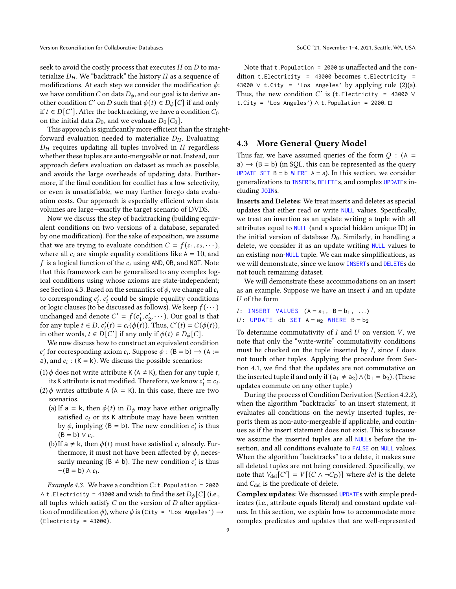seek to avoid the costly process that executes  $H$  on  $D$  to materialize  $D_H$ . We "backtrack" the history  $H$  as a sequence of modifications. At each step we consider the modification  $\phi$ : we have condition C on data  $D_{\phi}$ , and our goal is to derive another condition C' on D such that  $\phi(t) \in D_{\phi}[C]$  if and only if  $t \in D[C']$ . After the backtracking, we have a condition  $C_0$ on the initial data  $D_0$ , and we evaluate  $D_0[C_0]$ .

This approach is significantly more efficient than the straightforward evaluation needed to materialize  $D_H$ . Evaluating  $D_H$  requires updating all tuples involved in  $H$  regardless whether these tuples are auto-mergeable or not. Instead, our approach defers evaluation on dataset as much as possible, and avoids the large overheads of updating data. Furthermore, if the final condition for conflict has a low selectivity, or even is unsatisfiable, we may further forego data evaluation costs. Our approach is especially efficient when data volumes are large—exactly the target scenario of DVDS.

Now we discuss the step of backtracking (building equivalent conditions on two versions of a database, separated by one modification). For the sake of exposition, we assume that we are trying to evaluate condition  $C = f(c_1, c_2, \dots)$ , where all  $c_i$  are simple equality conditions like  $A = 10$ , and f is a logical function of the  $c_i$  using AND, OR, and NOT. Note that this framework can be generalized to any complex logical conditions using whose axioms are state-independent; see Section [4.3.](#page-8-0) Based on the semantics of  $\phi$ , we change all  $c_i$ to corresponding  $c'_i$ .  $c'_i$  could be simple equality conditions or logic clauses (to be discussed as follows). We keep  $f(\cdots)$ unchanged and denote  $C' = f(c'_1, c'_2, \cdots)$ . Our goal is that for any tuple  $t \in D$ ,  $c'_i(t) = c_i(\phi(\tilde{t}))$ . Thus,  $C'(t) = C(\phi(t))$ , in other words,  $t \in D[C']$  if any only if  $\phi(t) \in D_{\phi}[C]$ .

We now discuss how to construct an equivalent condition  $c'_i$  for corresponding axiom  $c_i$ . Suppose  $\phi$  : (B = b)  $\rightarrow$  (A := a), and  $c_i$ : (K = k). We discuss the possible scenarios:

- (1)  $\phi$  does not write attribute K (A  $\neq$  K), then for any tuple t, its K attribute is not modified. Therefore, we know  $c_i' = c_i$ .
- (2)  $\phi$  writes attribute A (A = K). In this case, there are two scenarios.
	- (a) If a = k, then  $\phi(t)$  in  $D_{\phi}$  may have either originally satisfied  $c_i$  or its K attribute may have been written by  $\phi$ , implying (B = b). The new condition  $c'_i$  is thus  $(B = b) \vee c_i$ .
	- (b) If a  $\neq$  k, then  $\phi(t)$  must have satisfied  $c_i$  already. Furthermore, it must not have been affected by  $\phi$ , necessarily meaning ( $B \neq b$ ). The new condition  $c_i$  is thus  $\neg(B = b) \wedge c_i$ .

*Example 4.3.* We have a condition  $C:$  t. Population = 2000 ∧ t. Electricity = 43000 and wish to find the set  $D_{\phi}[C]$  (i.e., all tuples which satisfy  $C$  on the version of  $D$  after application of modification  $\phi$ ), where  $\phi$  is (City = 'Los Angeles')  $\rightarrow$  $(Electricity = 43000).$ 

Note that t.Population = 2000 is unaffected and the condition t. Electricity =  $43000$  becomes t. Electricity = 43000  $\vee$  t.City = 'Los Angeles' by applying rule (2)(a). Thus, the new condition  $C'$  is (t. Electricity = 43000  $\vee$ t.City = 'Los Angeles')  $\wedge$  t. Population = 2000.  $\square$ 

## <span id="page-8-0"></span>4.3 More General Query Model

Thus far, we have assumed queries of the form  $Q$  : (A = a)  $\rightarrow$  (B = b) (in SQL, this can be represented as the query UPDATE SET  $B = b$  WHERE  $A = a$ ). In this section, we consider generalizations to INSERTs, DELETEs, and complex UPDATEs including JOINs.

Inserts and Deletes: We treat inserts and deletes as special updates that either read or write NULL values. Specifically, we treat an insertion as an update writing a tuple with all attributes equal to NULL (and a special hidden unique ID) in the initial version of database  $D_0$ . Similarly, in handling a delete, we consider it as an update writing NULL values to an existing non-NULL tuple. We can make simplifications, as we will demonstrate, since we know INSERTs and DELETEs do not touch remaining dataset.

We will demonstrate these accommodations on an insert as an example. Suppose we have an insert  $I$  and an update  $U$  of the form

 $I:$  INSERT VALUES  $(A = a_1, B = b_1, ...)$ U: UPDATE db SET  $A = a_2$  WHERE  $B = b_2$ 

To determine commutativity of  $I$  and  $U$  on version  $V$ , we note that only the "write-write" commutativity conditions must be checked on the tuple inserted by  $I$ , since  $I$  does not touch other tuples. Applying the procedure from Section [4.1,](#page-4-0) we find that the updates are not commutative on the inserted tuple if and only if  $(a_1 ≠ a_2) ∧ (b_1 = b_2)$ . (These updates commute on any other tuple.)

During the process of Condition Derivation (Section [4.2.2\)](#page-7-0), when the algorithm "backtracks" to an insert statement, it evaluates all conditions on the newly inserted tuples, reports them as non-auto-mergeable if applicable, and continues as if the insert statement does not exist. This is because we assume the inserted tuples are all NULLs before the insertion, and all conditions evaluate to FALSE on NULL values. When the algorithm "backtracks" to a delete, it makes sure all deleted tuples are not being considered. Specifically, we note that  $V_{\text{del}}[C'] = V[(C \land \neg C_D)]$  where del is the delete and  $C_{\text{del}}$  is the predicate of delete.

Complex updates: We discussed UPDATEs with simple predicates (i.e., attribute equals literal) and constant update values. In this section, we explain how to accommodate more complex predicates and updates that are well-represented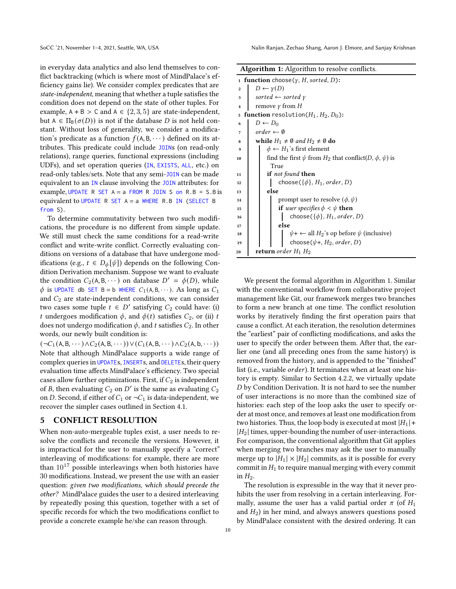in everyday data analytics and also lend themselves to conflict backtracking (which is where most of MindPalace's efficiency gains lie). We consider complex predicates that are state-independent, meaning that whether a tuple satisfies the condition does not depend on the state of other tuples. For example,  $A + B > C$  and  $A \in \{2, 3, 5\}$  are state-independent, but  $A \in \Pi_B(\sigma(D))$  is not if the database D is not held constant. Without loss of generality, we consider a modification's predicate as a function  $f(A, B, \dots)$  defined on its attributes. This predicate could include JOINs (on read-only relations), range queries, functional expressions (including UDFs), and set operation queries (IN, EXISTS, ALL, etc.) on read-only tables/sets. Note that any semi-JOIN can be made equivalent to an IN clause involving the JOIN attributes: for example, UPDATE R SET  $A = a$  FROM R JOIN S on R.B = S.B is equivalent to UPDATE R SET  $A = a$  WHERE R.B IN (SELECT B from S).

To determine commutativity between two such modifications, the procedure is no different from simple update. We still must check the same conditions for a read-write conflict and write-write conflict. Correctly evaluating conditions on versions of a database that have undergone modifications (e.g.,  $t \in D_{\phi}[\psi]$ ) depends on the following Condition Derivation mechanism. Suppose we want to evaluate the condition  $C_2(A, B, \dots)$  on database  $D' = \phi(D)$ , while  $\phi$  is UPDATE db SET B = b WHERE  $C_1(A, B, \dots)$ . As long as  $C_1$ and  $C_2$  are state-independent conditions, we can consider two cases some tuple  $t \in D'$  satisfying  $C_2$  could have: (i) t undergoes modification  $\phi$ , and  $\phi(t)$  satisfies  $C_2$ , or (ii) t does not undergo modification  $\phi$ , and t satisfies  $C_2$ . In other words, our newly built condition is:

 $(\neg C_1(\mathsf{A}, \mathsf{B}, \cdots) \land C_2(\mathsf{A}, \mathsf{B}, \cdots)) \lor (C_1(\mathsf{A}, \mathsf{B}, \cdots) \land C_2(\mathsf{A}, \mathsf{b}, \cdots))$ Note that although MindPalace supports a wide range of complex queries in UPDATEs, INSERTs, and DELETEs, their query evaluation time affects MindPalace's efficiency. Two special cases allow further optimizations. First, if  $C_2$  is independent of B, then evaluating  $C_2$  on  $D'$  is the same as evaluating  $C_2$ on D. Second, if either of  $C_1$  or  $\neg C_1$  is data-independent, we recover the simpler cases outlined in Section [4.1.](#page-4-0)

## <span id="page-9-0"></span>5 CONFLICT RESOLUTION

When non-auto-mergeable tuples exist, a user needs to resolve the conflicts and reconcile the versions. However, it is impractical for the user to manually specify a "correct" interleaving of modifications: for example, there are more than  $10^{17}$  possible interleavings when both histories have 30 modifications. Instead, we present the use with an easier question: given two modifications, which should precede the other? MindPalace guides the user to a desired interleaving by repeatedly posing this question, together with a set of specific records for which the two modifications conflict to provide a concrete example he/she can reason through.

|  | Algorithm 1: Algorithm to resolve conflicts. |  |  |
|--|----------------------------------------------|--|--|
|--|----------------------------------------------|--|--|

|                | o<br>o                                                                                            |  |  |  |  |
|----------------|---------------------------------------------------------------------------------------------------|--|--|--|--|
|                | 1 <b>function</b> choose( $\gamma$ , H, sorted, D):                                               |  |  |  |  |
| $\overline{2}$ | $D \leftarrow \gamma(D)$                                                                          |  |  |  |  |
| 3              | sorted $\leftarrow$ sorted $\gamma$                                                               |  |  |  |  |
| 4              | remove $\gamma$ from H                                                                            |  |  |  |  |
| 5              | <b>function</b> resolution( $H_1$ , $H_2$ , $D_0$ ):                                              |  |  |  |  |
| 6              | $D \leftarrow D_0$                                                                                |  |  |  |  |
| 7              | $order \leftarrow \emptyset$                                                                      |  |  |  |  |
| 8              | while $H_1 \neq \emptyset$ and $H_2 \neq \emptyset$ do                                            |  |  |  |  |
| 9              | $\phi \leftarrow H_1$ 's first element                                                            |  |  |  |  |
| 10             | find the first $\psi$ from $H_2$ that conflict(D, $\phi$ , $\psi$ ) is                            |  |  |  |  |
|                | True                                                                                              |  |  |  |  |
| 11             | <b>if</b> not found then                                                                          |  |  |  |  |
| 12             | choose( $\{\phi\}$ , $H_1$ , order, D)                                                            |  |  |  |  |
| 13             | else                                                                                              |  |  |  |  |
| 14             | prompt user to resolve $(\phi, \psi)$                                                             |  |  |  |  |
| 15             | <b>if</b> user specifies $\phi < \psi$ then                                                       |  |  |  |  |
| 16             | choose( $\{\phi\}$ , $H_1$ , order, D)                                                            |  |  |  |  |
| 17             | else                                                                                              |  |  |  |  |
| 18             |                                                                                                   |  |  |  |  |
| 19             | $\psi + \leftarrow$ all $H_2$ 's op before $\psi$ (inclusive)<br>choose $(\psi +, H_2, order, D)$ |  |  |  |  |
| 20             | <b>return</b> order $H_1$ $H_2$                                                                   |  |  |  |  |
|                |                                                                                                   |  |  |  |  |

<span id="page-9-1"></span>We present the formal algorithm in Algorithm [1.](#page-9-1) Similar with the conventional workflow from collaborative project management like Git, our framework merges two branches to form a new branch at one time. The conflict resolution works by iteratively finding the first operation pairs that cause a conflict. At each iteration, the resolution determines the "earliest" pair of conflicting modifications, and asks the user to specify the order between them. After that, the earlier one (and all preceding ones from the same history) is removed from the history, and is appended to the "finished" list (i.e., variable *order*). It terminates when at least one history is empty. Similar to Section [4.2.2,](#page-7-0) we virtually update D by Condition Derivation. It is not hard to see the number of user interactions is no more than the combined size of histories: each step of the loop asks the user to specify order at most once, and removes at least one modification from two histories. Thus, the loop body is executed at most  $|H_1|$  +  $|H_2|$  times, upper-bounding the number of user-interactions. For comparison, the conventional algorithm that Git applies when merging two branches may ask the user to manually merge up to  $|H_1| \times |H_2|$  commits, as it is possible for every commit in  $H_1$  to require manual merging with every commit in  $H_2$ .

The resolution is expressible in the way that it never prohibits the user from resolving in a certain interleaving. Formally, assume the user has a valid partial order  $\pi$  (of  $H_1$ and  $H_2$ ) in her mind, and always answers questions posed by MindPalace consistent with the desired ordering. It can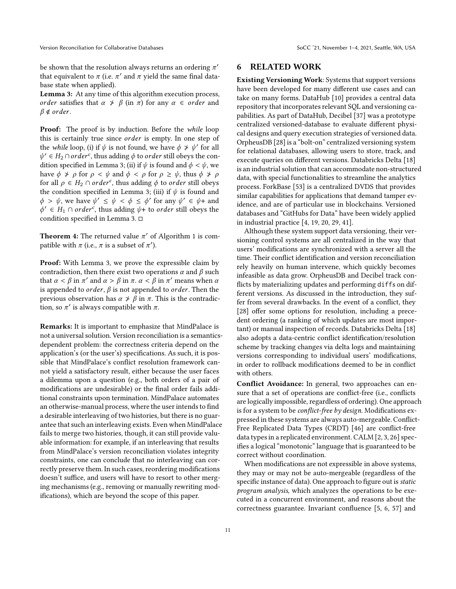be shown that the resolution always returns an ordering  $\pi'$ that equivalent to  $\pi$  (i.e.  $\pi'$  and  $\pi$  yield the same final database state when applied).

Lemma 3: At any time of this algorithm execution process, order satisfies that  $\alpha \neq \beta$  (in  $\pi$ ) for any  $\alpha \in \text{order}$  and  $\beta \notin \text{order}.$ 

**Proof:** The proof is by induction. Before the while loop this is certainly true since *order* is empty. In one step of the while loop, (i) if  $\psi$  is not found, we have  $\phi \neq \psi'$  for all  $\psi' \in H_2 \cap order^c$ , thus adding  $\phi$  to *order* still obeys the condition specified in Lemma 3; (ii) if  $\psi$  is found and  $\phi < \psi$ , we have  $\phi \not\Rightarrow \rho$  for  $\rho < \psi$  and  $\phi < \rho$  for  $\rho \geq \psi$ , thus  $\phi \not\Rightarrow \rho$ for all  $\rho \in H_2 \cap order^c$ , thus adding  $\phi$  to  $order$  still obeys the condition specified in Lemma 3; (iii) if  $\psi$  is found and  $\phi > \psi$ , we have  $\psi' \leq \psi < \phi \leq \phi'$  for any  $\psi' \in \psi$ + and  $\phi' \in H_1 \cap \text{order}^c$ , thus adding  $\psi$ + to *order* still obeys the condition specified in Lemma 3.

**Theorem 4:** The returned value  $\pi'$  of Algorithm 1 is compatible with  $\pi$  (i.e.,  $\pi$  is a subset of  $\pi'$ ).

Proof: With Lemma 3, we prove the expressible claim by contradiction, then there exist two operations  $\alpha$  and  $\beta$  such that  $\alpha < \beta$  in  $\pi'$  and  $\alpha > \beta$  in  $\pi$ .  $\alpha < \beta$  in  $\pi'$  means when  $\alpha$ is appended to *order*,  $\beta$  is not appended to *order*. Then the previous observation has  $\alpha \neq \beta$  in  $\pi$ . This is the contradiction, so  $\pi'$  is always compatible with  $\pi$ .

Remarks: It is important to emphasize that MindPalace is not a universal solution. Version reconciliation is a semanticsdependent problem: the correctness criteria depend on the application's (or the user's) specifications. As such, it is possible that MindPalace's conflict resolution framework cannot yield a satisfactory result, either because the user faces a dilemma upon a question (e.g., both orders of a pair of modifications are undesirable) or the final order fails additional constraints upon termination. MindPalace automates an otherwise-manual process, where the user intends to find a desirable interleaving of two histories, but there is no guarantee that such an interleaving exists. Even when MindPalace fails to merge two histories, though, it can still provide valuable information: for example, if an interleaving that results from MindPalace's version reconciliation violates integrity constraints, one can conclude that no interleaving can correctly preserve them. In such cases, reordering modifications doesn't suffice, and users will have to resort to other merging mechanisms (e.g., removing or manually rewriting modifications), which are beyond the scope of this paper.

## 6 RELATED WORK

Existing Versioning Work: Systems that support versions have been developed for many different use cases and can take on many forms. DataHub [\[10\]](#page-15-3) provides a central data repository that incorporates relevant SQL and versioning capabilities. As part of DataHub, Decibel [\[37\]](#page-16-3) was a prototype centralized versioned-database to evaluate different physical designs and query execution strategies of versioned data. OrpheusDB [\[28](#page-16-2)] is a "bolt-on" centralized versioning system for relational databases, allowing users to store, track, and execute queries on different versions. Databricks Delta [\[18\]](#page-15-5) is an industrial solution that can accommodate non-structured data, with special functionalities to streamline the analytics process. ForkBase [\[53](#page-17-2)] is a centralized DVDS that provides similar capabilities for applications that demand tamper evidence, and are of particular use in blockchains. Versioned databases and "GitHubs for Data" have been widely applied in industrial practice [\[4](#page-15-0), [19,](#page-15-1) [20,](#page-15-2) [29,](#page-16-0) [41\]](#page-16-1).

Although these system support data versioning, their versioning control systems are all centralized in the way that users' modifications are synchronized with a server all the time. Their conflict identification and version reconciliation rely heavily on human intervene, which quickly becomes infeasible as data grow. OrpheusDB and Decibel track conflicts by materializing updates and performing diffs on different versions. As discussed in the introduction, they suffer from several drawbacks. In the event of a conflict, they [\[28\]](#page-16-2) offer some options for resolution, including a precedent ordering (a ranking of which updates are most important) or manual inspection of records. Databricks Delta [\[18\]](#page-15-5) also adopts a data-centric conflict identification/resolution scheme by tracking changes via delta logs and maintaining versions corresponding to individual users' modifications, in order to rollback modifications deemed to be in conflict with others.

Conflict Avoidance: In general, two approaches can ensure that a set of operations are conflict-free (i.e., conflicts are logically impossible, regardless of ordering). One approach is for a system to be *conflict-free by design*. Modifications expressed in these systems are always auto-mergeable. Conflict-Free Replicated Data Types (CRDT) [\[46\]](#page-16-5) are conflict-free data types in a replicated environment. CALM [\[2,](#page-15-6) [3](#page-15-7), [26](#page-16-6)] specifies a logical "monotonic" language that is guaranteed to be correct without coordination.

When modifications are not expressible in above systems, they may or may not be auto-mergeable (regardless of the specific instance of data). One approach to figure out is static program analysis, which analyzes the operations to be executed in a concurrent environment, and reasons about the correctness guarantee. Invariant confluence [\[5,](#page-15-8) [6](#page-15-9), [57](#page-17-3)] and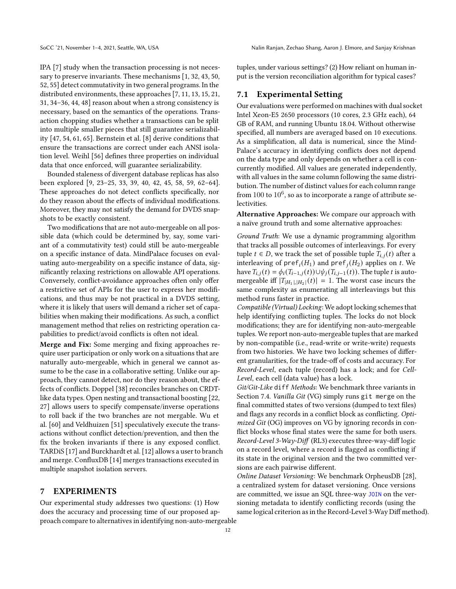IPA [\[7](#page-15-10)] study when the transaction processing is not necessary to preserve invariants. These mechanisms [\[1](#page-15-11), [32,](#page-16-7) [43](#page-16-8), [50,](#page-17-4) [52](#page-17-5), [55](#page-17-6)] detect commutativity in two general programs. In the distributed environments, these approaches [\[7,](#page-15-10) [11,](#page-15-12) [13](#page-15-13), [15,](#page-15-14) [21,](#page-15-15) [31](#page-16-9), [34](#page-16-10)[–36](#page-16-11), [44,](#page-16-12) [48\]](#page-16-13) reason about when a strong consistency is necessary, based on the semantics of the operations. Transaction chopping studies whether a transactions can be split into multiple smaller pieces that still guarantee serializability [\[47,](#page-16-14) [54,](#page-17-7) [61](#page-17-8), [65\]](#page-17-9). Bernstein et al. [\[8\]](#page-15-16) derive conditions that ensure the transactions are correct under each ANSI isolation level. Weihl [56] defines three properties on individual data that once enforced, will guarantee serializability.

Bounded staleness of divergent database replicas has also been explored [\[9](#page-15-17), [23](#page-16-15)[–25,](#page-16-16) [33](#page-16-17), [39](#page-16-18), [40](#page-16-19), [42,](#page-16-20) [45,](#page-16-21) [58,](#page-17-10) [59,](#page-17-11) [62](#page-17-12)[–64\]](#page-17-13). These approaches do not detect conflicts specifically, nor do they reason about the effects of individual modifications. Moreover, they may not satisfy the demand for DVDS snapshots to be exactly consistent.

Two modifications that are not auto-mergeable on all possible data (which could be determined by, say, some variant of a commutativity test) could still be auto-mergeable on a specific instance of data. MindPalace focuses on evaluating auto-mergeability on a specific instance of data, significantly relaxing restrictions on allowable API operations. Conversely, conflict-avoidance approaches often only offer a restrictive set of APIs for the user to express her modifications, and thus may be not practical in a DVDS setting, where it is likely that users will demand a richer set of capabilities when making their modifications. As such, a conflict management method that relies on restricting operation capabilities to predict/avoid conflicts is often not ideal.

Merge and Fix: Some merging and fixing approaches require user participation or only work on a situations that are naturally auto-mergeable, which in general we cannot assume to be the case in a collaborative setting. Unlike our approach, they cannot detect, nor do they reason about, the effects of conflicts. Doppel [\[38\]](#page-16-22) reconciles branches on CRDTlike data types. Open nesting and transactional boosting [\[22,](#page-15-18) [27](#page-16-23)] allows users to specify compensate/inverse operations to roll back if the two branches are not mergable. Wu et al. [\[60](#page-17-14)] and Veldhuizen [51] speculatively execute the transactions without conflict detection/prevention, and then the fix the broken invariants if there is any exposed conflict. TARDiS [\[17\]](#page-15-19) and Burckhardt et al. [\[12](#page-15-20)] allows a user to branch and merge. ConfluxDB [\[14\]](#page-15-21) merges transactions executed in multiple snapshot isolation servers.

## <span id="page-11-0"></span>7 EXPERIMENTS

Our experimental study addresses two questions: (1) How does the accuracy and processing time of our proposed approach compare to alternatives in identifying non-auto-mergeable

tuples, under various settings? (2) How reliant on human input is the version reconciliation algorithm for typical cases?

# 7.1 Experimental Setting

Our evaluations were performed on machines with dual socket Intel Xeon-E5 2650 processors (10 cores, 2.3 GHz each), 64 GB of RAM, and running Ubuntu 18.04. Without otherwise specified, all numbers are averaged based on 10 executions. As a simplification, all data is numerical, since the Mind-Palace's accuracy in identifying conflicts does not depend on the data type and only depends on whether a cell is concurrently modified. All values are generated independently, with all values in the same column following the same distribution. The number of distinct values for each column range from  $100$  to  $10^6$ , so as to incorporate a range of attribute selectivities.

Alternative Approaches: We compare our approach with a naïve ground truth and some alternative approaches:

Ground Truth: We use a dynamic programming algorithm that tracks all possible outcomes of interleavings. For every tuple  $t \in D$ , we track the set of possible tuple  $T_{i,j}(t)$  after a interleaving of  $\mathsf{pref}_i(H_1)$  and  $\mathsf{pref}_j(H_2)$  applies on  $t$ . We have  $T_{i,j}(t) = \phi_i(T_{i-1,j}(t)) \cup \psi_j(T_{i,j-1}(t))$ . The tuple t is automergeable iff  $|T_{|H_1|,|H_2|}(t)| = 1$ . The worst case incurs the same complexity as enumerating all interleavings but this method runs faster in practice.

Compatible (Virtual) Locking: We adopt locking schemes that help identifying conflicting tuples. The locks do not block modifications; they are for identifying non-auto-mergeable tuples. We report non-auto-mergeable tuples that are marked by non-compatible (i.e., read-write or write-write) requests from two histories. We have two locking schemes of different granularities, for the trade-off of costs and accuracy. For Record-Level, each tuple (record) has a lock; and for Cell-Level, each cell (data value) has a lock.

Git/Git-Like diff Methods: We benchmark three variants in Section [7.4.](#page-14-0) Vanilla Git (VG) simply runs git merge on the final committed states of two versions (dumped to text files) and flags any records in a conflict block as conflicting. Optimized Git (OG) improves on VG by ignoring records in conflict blocks whose final states were the same for both users. Record-Level 3-Way-Diff (RL3) executes three-way-diff logic on a record level, where a record is flagged as conflicting if its state in the original version and the two committed versions are each pairwise different.

Online Dataset Versioning: We benchmark OrpheusDB [\[28\]](#page-16-2), a centralized system for dataset versioning. Once versions are committed, we issue an SQL three-way JOIN on the versioning metadata to identify conflicting records (using the same logical criterion as in the Record-Level 3-Way Diff method).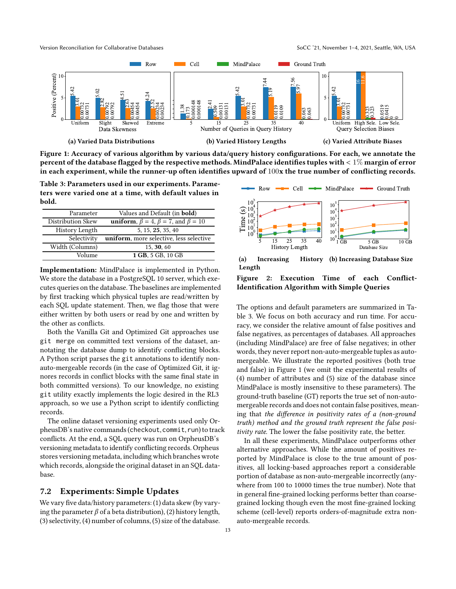<span id="page-12-1"></span>

Figure 1: Accuracy of various algorithm by various data/query history configurations. For each, we annotate the percent of the database flagged by the respective methods. MindPalace identifies tuples with < 1% margin of error in each experiment, while the runner-up often identifies upward of  $100x$  the true number of conflicting records.

<span id="page-12-0"></span>Table 3: Parameters used in our experiments. Parameters were varied one at a time, with default values in bold.

| Parameter         | Values and Default (in <b>bold</b> )                          |
|-------------------|---------------------------------------------------------------|
| Distribution Skew | <b>uniform</b> , $\beta = 4$ , $\beta = 7$ , and $\beta = 10$ |
| History Length    | 5, 15, 25, 35, 40                                             |
| Selectivity       | uniform, more selective, less selective                       |
| Width (Columns)   | 15, 30, 60                                                    |
| Volume            | 1 GB, 5 GB, 10 GB                                             |

Implementation: MindPalace is implemented in Python. We store the database in a PostgreSQL 10 server, which executes queries on the database. The baselines are implemented by first tracking which physical tuples are read/written by each SQL update statement. Then, we flag those that were either written by both users or read by one and written by the other as conflicts.

Both the Vanilla Git and Optimized Git approaches use git merge on committed text versions of the dataset, annotating the database dump to identify conflicting blocks. A Python script parses the git annotations to identify nonauto-mergeable records (in the case of Optimized Git, it ignores records in conflict blocks with the same final state in both committed versions). To our knowledge, no existing git utility exactly implements the logic desired in the RL3 approach, so we use a Python script to identify conflicting records.

The online dataset versioning experiments used only OrpheusDB's native commands (checkout, commit, run) to track conflicts. At the end, a SQL query was run on OrpheusDB's versioning metadata to identify conflicting records. Orpheus stores versioning metadata, including which branches wrote which records, alongside the original dataset in an SQL database.

# <span id="page-12-3"></span>7.2 Experiments: Simple Updates

We vary five data/history parameters: (1) data skew (by varying the parameter  $\beta$  of a beta distribution), (2) history length, (3) selectivity, (4) number of columns, (5) size of the database.

<span id="page-12-2"></span>

(a) Increasing History Length (b) Increasing Database Size

Figure 2: Execution Time of each Conflict-Identification Algorithm with Simple Queries

The options and default parameters are summarized in Table [3.](#page-12-0) We focus on both accuracy and run time. For accuracy, we consider the relative amount of false positives and false negatives, as percentages of databases. All approaches (including MindPalace) are free of false negatives; in other words, they never report non-auto-mergeable tuples as automergeable. We illustrate the reported positives (both true and false) in Figure [1](#page-12-1) (we omit the experimental results of (4) number of attributes and (5) size of the database since MindPalace is mostly insensitive to these parameters). The ground-truth baseline (GT) reports the true set of non-automergeable records and does not contain false positives, meaning that the difference in positivity rates of a (non-ground truth) method and the ground truth represent the false positivity rate. The lower the false positivity rate, the better.

In all these experiments, MindPalace outperforms other alternative approaches. While the amount of positives reported by MindPalace is close to the true amount of positives, all locking-based approaches report a considerable portion of database as non-auto-mergeable incorrectly (anywhere from 100 to 10000 times the true number). Note that in general fine-grained locking performs better than coarsegrained locking though even the most fine-grained locking scheme (cell-level) reports orders-of-magnitude extra nonauto-mergeable records.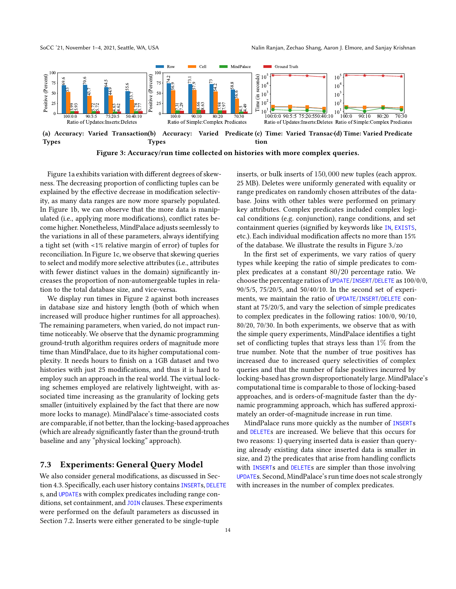<span id="page-13-0"></span>



Figure 3: Accuracy/run time collected on histories with more complex queries.

Figure [1a](#page-12-1) exhibits variation with different degrees of skewness. The decreasing proportion of conflicting tuples can be explained by the effective decrease in modification selectivity, as many data ranges are now more sparsely populated. In Figure [1b,](#page-12-1) we can observe that the more data is manipulated (i.e., applying more modifications), conflict rates become higher. Nonetheless, MindPalace adjusts seemlessly to the variations in all of these parameters, always identifying a tight set (with <1% relative margin of error) of tuples for reconciliation. In Figure [1c,](#page-12-1) we observe that skewing queries to select and modify more selective attributes (i.e., attributes with fewer distinct values in the domain) significantly increases the proportion of non-automergeable tuples in relation to the total database size, and vice-versa.

We display run times in Figure [2](#page-12-2) against both increases in database size and history length (both of which when increased will produce higher runtimes for all approaches). The remaining parameters, when varied, do not impact runtime noticeably. We observe that the dynamic programming ground-truth algorithm requires orders of magnitude more time than MindPalace, due to its higher computational complexity. It needs hours to finish on a 1GB dataset and two histories with just 25 modifications, and thus it is hard to employ such an approach in the real world. The virtual locking schemes employed are relatively lightweight, with associated time increasing as the granularity of locking gets smaller (intuitively explained by the fact that there are now more locks to manage). MindPalace's time-associated costs are comparable, if not better, than the locking-based approaches (which are already significantly faster than the ground-truth baseline and any "physical locking" approach).

## 7.3 Experiments: General Query Model

We also consider general modifications, as discussed in Section [4.3.](#page-8-0) Specifically, each user history contains INSERTs, DELETE s, and UPDATEs with complex predicates including range conditions, set containment, and JOIN clauses. These experiments were performed on the default parameters as discussed in Section [7.2.](#page-12-3) Inserts were either generated to be single-tuple

inserts, or bulk inserts of 150, 000 new tuples (each approx. 25 MB). Deletes were uniformly generated with equality or range predicates on randomly chosen attributes of the database. Joins with other tables were performed on primary key attributes. Complex predicates included complex logical conditions (e.g. conjunction), range conditions, and set containment queries (signified by keywords like IN, EXISTS, etc.). Each individual modification affects no more than 15% of the database. We illustrate the results in Figure [3.](#page-13-0)/zo

In the first set of experiments, we vary ratios of query types while keeping the ratio of simple predicates to complex predicates at a constant 80/20 percentage ratio. We choose the percentage ratios of UPDATE/INSERT/DELETE as 100/0/0, 90/5/5, 75/20/5, and 50/40/10. In the second set of experiments, we maintain the ratio of UPDATE/INSERT/DELETE constant at 75/20/5, and vary the selection of simple predicates to complex predicates in the following ratios: 100/0, 90/10, 80/20, 70/30. In both experiments, we observe that as with the simple query experiments, MindPalace identifies a tight set of conflicting tuples that strays less than  $1\%$  from the true number. Note that the number of true positives has increased due to increased query selectivities of complex queries and that the number of false positives incurred by locking-based has grown disproportionately large. MindPalace's computational time is comparable to those of locking-based approaches, and is orders-of-magnitude faster than the dynamic programming approach, which has suffered approximately an order-of-magnitude increase in run time.

MindPalace runs more quickly as the number of INSERTs and DELETEs are increased. We believe that this occurs for two reasons: 1) querying inserted data is easier than querying already existing data since inserted data is smaller in size, and 2) the predicates that arise from handling conflicts with **INSERTs** and **DELETES** are simpler than those involving UPDATEs. Second, MindPalace's run time does not scale strongly with increases in the number of complex predicates.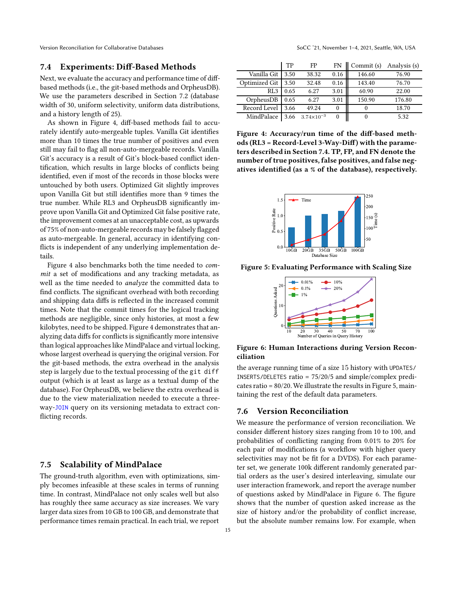## <span id="page-14-0"></span>7.4 Experiments: Diff-Based Methods

Next, we evaluate the accuracy and performance time of diffbased methods (i.e., the git-based methods and OrpheusDB). We use the parameters described in Section [7.2](#page-12-3) (database width of 30, uniform selectivity, uniform data distributions, and a history length of 25).

As shown in Figure [4,](#page-14-1) diff-based methods fail to accurately identify auto-mergeable tuples. Vanilla Git identifies more than 10 times the true number of positives and even still may fail to flag all non-auto-mergeable records. Vanilla Git's accuracy is a result of Git's block-based conflict identification, which results in large blocks of conflicts being identified, even if most of the records in those blocks were untouched by both users. Optimized Git slightly improves upon Vanilla Git but still identifies more than 9 times the true number. While RL3 and OrpheusDB significantly improve upon Vanilla Git and Optimized Git false positive rate, the improvement comes at an unacceptable cost, as upwards of 75% of non-auto-mergeable records may be falsely flagged as auto-mergeable. In general, accuracy in identifying conflicts is independent of any underlying implementation details.

Figure [4](#page-14-1) also benchmarks both the time needed to commit a set of modifications and any tracking metadata, as well as the time needed to *analyze* the committed data to find conflicts. The significant overhead with both recording and shipping data diffs is reflected in the increased commit times. Note that the commit times for the logical tracking methods are negligible, since only histories, at most a few kilobytes, need to be shipped. Figure [4](#page-14-1) demonstrates that analyzing data diffs for conflicts is significantly more intensive than logical approaches like MindPalace and virtual locking, whose largest overhead is querying the original version. For the git-based methods, the extra overhead in the analysis step is largely due to the textual processing of the git diff output (which is at least as large as a textual dump of the database). For OrpheusDB, we believe the extra overhead is due to the view materialization needed to execute a threeway-JOIN query on its versioning metadata to extract conflicting records.

## 7.5 Scalability of MindPalace

The ground-truth algorithm, even with optimizations, simply becomes infeasible at these scales in terms of running time. In contrast, MindPalace not only scales well but also has roughly thee same accuracy as size increases. We vary larger data sizes from 10 GB to 100 GB, and demonstrate that performance times remain practical. In each trial, we report

<span id="page-14-1"></span>

|                 | TP   | FP                    | FN       | Commit (s) | Analysis (s) |
|-----------------|------|-----------------------|----------|------------|--------------|
| Vanilla Git∣    | 3.50 | 38.32                 | 0.16     | 146.60     | 76.90        |
| Optimized Git   | 3.50 | 32.48                 | 0.16     | 143.40     | 76.70        |
| RL <sub>3</sub> | 0.65 | 6.27                  | 3.01     | 60.90      | 22.00        |
| OrpheusDB       | 0.65 | 6.27                  | 3.01     | 150.90     | 176.80       |
| Record Level    | 3.66 | 49.24                 | $\Omega$ | 0          | 18.70        |
| MindPalace      | 3.66 | $3.74 \times 10^{-3}$ | $\Omega$ | 0          | 5.32         |

Figure 4: Accuracy/run time of the diff-based methods (RL3 = Record-Level 3-Way-Diff) with the parameters described in Section [7.4.](#page-14-0) TP, FP, and FN denote the number of true positives, false positives, and false negatives identified (as a % of the database), respectively.

<span id="page-14-2"></span>

<span id="page-14-3"></span>Figure 5: Evaluating Performance with Scaling Size



Figure 6: Human Interactions during Version Reconciliation

the average running time of a size 15 history with UPDATES/ INSERTS/DELETES ratio = 75/20/5 and simple/complex predicates ratio = 80/20.We illustrate the results in Figure [5,](#page-14-2) maintaining the rest of the default data parameters.

#### 7.6 Version Reconciliation

We measure the performance of version reconciliation. We consider different history sizes ranging from 10 to 100, and probabilities of conflicting ranging from 0.01% to 20% for each pair of modifications (a workflow with higher query selectivities may not be fit for a DVDS). For each parameter set, we generate 100k different randomly generated partial orders as the user's desired interleaving, simulate our user interaction framework, and report the average number of questions asked by MindPalace in Figure [6.](#page-14-3) The figure shows that the number of question asked increase as the size of history and/or the probability of conflict increase, but the absolute number remains low. For example, when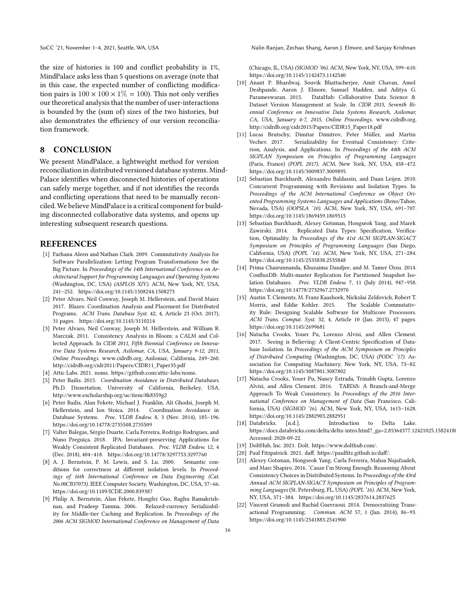the size of histories is 100 and conflict probability is 1%, MindPalace asks less than 5 questions on average (note that in this case, the expected number of conflicting modification pairs is  $100 \times 100 \times 1\% = 100$ ). This not only verifies our theoretical analysis that the number of user-interactions is bounded by the (sum of) sizes of the two histories, but also demonstrates the efficiency of our version reconciliation framework.

## 8 CONCLUSION

We present MindPalace, a lightweight method for version reconciliation in distributed versioned database systems. Mind-Palace identifies when disconnected histories of operations can safely merge together, and if not identifies the records and conflicting operations that need to be manually reconciled. We believe MindPalace is a critical component for building disconnected collaborative data systems, and opens up interesting subsequent research questions.

## **REFERENCES**

- <span id="page-15-11"></span>[1] Farhana Aleen and Nathan Clark. 2009. Commutativity Analysis for Software Parallelization: Letting Program Transformations See the Big Picture. In Proceedings of the 14th International Conference on Architectural Support for Programming Languages and Operating Systems (Washington, DC, USA) (ASPLOS XIV). ACM, New York, NY, USA, 241–252.<https://doi.org/10.1145/1508244.1508273>
- <span id="page-15-6"></span>[2] Peter Alvaro, Neil Conway, Joseph M. Hellerstein, and David Maier. 2017. Blazes: Coordination Analysis and Placement for Distributed Programs. ACM Trans. Database Syst. 42, 4, Article 23 (Oct. 2017), 31 pages.<https://doi.org/10.1145/3110214>
- <span id="page-15-7"></span>[3] Peter Alvaro, Neil Conway, Joseph M. Hellerstein, and William R. Marczak. 2011. Consistency Analysis in Bloom: a CALM and Collected Approach. In CIDR 2011, Fifth Biennial Conference on Innovative Data Systems Research, Asilomar, CA, USA, January 9-12, 2011, Online Proceedings. www.cidrdb.org, Asilomar, California, 249–260. [http://cidrdb.org/cidr2011/Papers/CIDR11\\_Paper35.pdf](http://cidrdb.org/cidr2011/Papers/CIDR11_Paper35.pdf)
- <span id="page-15-0"></span>[4] Attic Labs. 2021. noms. [https://github.com/attic-labs/noms.](https://github.com/attic-labs/noms)
- <span id="page-15-8"></span>[5] Peter Bailis. 2015. Coordination Avoidance in Distributed Databases. Ph.D. Dissertation. University of California, Berkeley, USA. <http://www.escholarship.org/uc/item/8k8359g2>
- <span id="page-15-9"></span>[6] Peter Bailis, Alan Fekete, Michael J. Franklin, Ali Ghodsi, Joseph M. Hellerstein, and Ion Stoica. 2014. Coordination Avoidance in Database Systems. Proc. VLDB Endow. 8, 3 (Nov. 2014), 185–196. <https://doi.org/10.14778/2735508.2735509>
- <span id="page-15-10"></span>[7] Valter Balegas, Sérgio Duarte, Carla Ferreira, Rodrigo Rodrigues, and Nuno Preguiça. 2018. IPA: Invariant-preserving Applications for Weakly Consistent Replicated Databases. Proc. VLDB Endow. 12, 4 (Dec. 2018), 404–418.<https://doi.org/10.14778/3297753.3297760>
- <span id="page-15-16"></span>[8] A. J. Bernstein, P. M. Lewis, and S. Lu. 2000. Semantic conditions for correctness at different isolation levels. In Proceedings of 16th International Conference on Data Engineering (Cat. No.00CB37073). IEEE Computer Society, Washington, DC, USA, 57–66. <https://doi.org/10.1109/ICDE.2000.839387>
- <span id="page-15-17"></span>[9] Philip A. Bernstein, Alan Fekete, Hongfei Guo, Raghu Ramakrishnan, and Pradeep Tamma. 2006. Relaxed-currency Serializability for Middle-tier Caching and Replication. In Proceedings of the 2006 ACM SIGMOD International Conference on Management of Data

(Chicago, IL, USA) (SIGMOD '06). ACM, New York, NY, USA, 599–610. <https://doi.org/10.1145/1142473.1142540>

- <span id="page-15-3"></span>[10] Anant P. Bhardwaj, Souvik Bhattacherjee, Amit Chavan, Amol Deshpande, Aaron J. Elmore, Samuel Madden, and Aditya G. Parameswaran. 2015. DataHub: Collaborative Data Science & Dataset Version Management at Scale. In CIDR 2015, Seventh Biennial Conference on Innovative Data Systems Research, Asilomar, CA, USA, January 4-7, 2015, Online Proceedings. www.cidrdb.org. [http://cidrdb.org/cidr2015/Papers/CIDR15\\_Paper18.pdf](http://cidrdb.org/cidr2015/Papers/CIDR15_Paper18.pdf)
- <span id="page-15-12"></span>[11] Lucas Brutschy, Dimitar Dimitrov, Peter Müller, and Martin Vechev. 2017. Serializability for Eventual Consistency: Criterion, Analysis, and Applications. In Proceedings of the 44th ACM SIGPLAN Symposium on Principles of Programming Languages (Paris, France) (POPL 2017). ACM, New York, NY, USA, 458–472. <https://doi.org/10.1145/3009837.3009895>
- <span id="page-15-20"></span>[12] Sebastian Burckhardt, Alexandro Baldassin, and Daan Leijen. 2010. Concurrent Programming with Revisions and Isolation Types. In Proceedings of the ACM International Conference on Object Oriented Programming Systems Languages and Applications (Reno/Tahoe, Nevada, USA) (OOPSLA '10). ACM, New York, NY, USA, 691–707. <https://doi.org/10.1145/1869459.1869515>
- <span id="page-15-13"></span>[13] Sebastian Burckhardt, Alexey Gotsman, Hongseok Yang, and Marek Zawirski. 2014. Replicated Data Types: Specification, Verification, Optimality. In Proceedings of the 41st ACM SIGPLAN-SIGACT Symposium on Principles of Programming Languages (San Diego, California, USA) (POPL '14). ACM, New York, NY, USA, 271–284. <https://doi.org/10.1145/2535838.2535848>
- <span id="page-15-21"></span>[14] Prima Chairunnanda, Khuzaima Daudjee, and M. Tamer Özsu. 2014. ConfluxDB: Multi-master Replication for Partitioned Snapshot Isolation Databases. Proc. VLDB Endow. 7, 11 (July 2014), 947–958. <https://doi.org/10.14778/2732967.2732970>
- <span id="page-15-14"></span>[15] Austin T. Clements, M. Frans Kaashoek, Nickolai Zeldovich, Robert T. Morris, and Eddie Kohler. 2015. The Scalable Commutativity Rule: Designing Scalable Software for Multicore Processors. ACM Trans. Comput. Syst. 32, 4, Article 10 (Jan. 2015), 47 pages. <https://doi.org/10.1145/2699681>
- <span id="page-15-4"></span>[16] Natacha Crooks, Youer Pu, Lorenzo Alvisi, and Allen Clement. 2017. Seeing is Believing: A Client-Centric Specification of Database Isolation. In Proceedings of the ACM Symposium on Principles of Distributed Computing (Washington, DC, USA) (PODC '17). Association for Computing Machinery, New York, NY, USA, 73–82. <https://doi.org/10.1145/3087801.3087802>
- <span id="page-15-19"></span>[17] Natacha Crooks, Youer Pu, Nancy Estrada, Trinabh Gupta, Lorenzo Alvisi, and Allen Clement. 2016. TARDiS: A Branch-and-Merge Approach To Weak Consistency. In Proceedings of the 2016 International Conference on Management of Data (San Francisco, California, USA) (SIGMOD '16). ACM, New York, NY, USA, 1615–1628. <https://doi.org/10.1145/2882903.2882951>
- <span id="page-15-5"></span>[18] Databricks. [n.d.]. Introduction to Delta Lake. https://docs.databricks.com/delta/delta-intro.html?\_ga=2.85364377.12421025.15824180 Accessed: 2020-09-22.
- <span id="page-15-1"></span>[19] DoltHub, Inc. 2021. Dolt. [https://www.dolthub.com/.](https://www.dolthub.com/)
- <span id="page-15-2"></span>[20] Paul Fitzpatrick. 2021. daff. [https://paulfitz.github.io/daff/.](https://paulfitz.github.io/daff/)
- <span id="page-15-15"></span>[21] Alexey Gotsman, Hongseok Yang, Carla Ferreira, Mahsa Najafzadeh, and Marc Shapiro. 2016. 'Cause I'm Strong Enough: Reasoning About Consistency Choices in Distributed Systems. In Proceedings of the 43rd Annual ACM SIGPLAN-SIGACT Symposium on Principles of Programming Languages (St. Petersburg, FL, USA) (POPL '16). ACM, New York, NY, USA, 371–384.<https://doi.org/10.1145/2837614.2837625>
- <span id="page-15-18"></span>[22] Vincent Gramoli and Rachid Guerraoui. 2014. Democratizing Transactional Programming. Commun. ACM 57, 1 (Jan. 2014), 86–93. <https://doi.org/10.1145/2541883.2541900>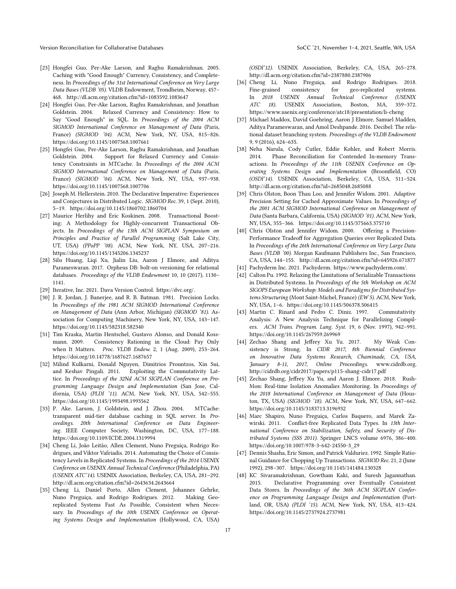- <span id="page-16-15"></span>[23] Hongfei Guo, Per-Ake Larson, and Raghu Ramakrishnan. 2005. Caching with "Good Enough" Currency, Consistency, and Completeness. In Proceedings of the 31st International Conference on Very Large Data Bases (VLDB '05). VLDB Endowment, Trondheim, Norway, 457– 468.<http://dl.acm.org/citation.cfm?id=1083592.1083647>
- [24] Hongfei Guo, Per-Ake Larson, Raghu Ramakrishnan, and Jonathan Goldstein. 2004. Relaxed Currency and Consistency: How to Say "Good Enough" in SQL. In Proceedings of the 2004 ACM SIGMOD International Conference on Management of Data (Paris, France) (SIGMOD '04). ACM, New York, NY, USA, 815–826. <https://doi.org/10.1145/1007568.1007661>
- <span id="page-16-16"></span>[25] Hongfei Guo, Per-Ake Larson, Raghu Ramakrishnan, and Jonathan Goldstein. 2004. Support for Relaxed Currency and Consistency Constraints in MTCache. In Proceedings of the 2004 ACM SIGMOD International Conference on Management of Data (Paris, France) (SIGMOD '04). ACM, New York, NY, USA, 937–938. <https://doi.org/10.1145/1007568.1007706>
- <span id="page-16-6"></span>[26] Joseph M. Hellerstein. 2010. The Declarative Imperative: Experiences and Conjectures in Distributed Logic. SIGMOD Rec. 39, 1 (Sept. 2010), 5–19.<https://doi.org/10.1145/1860702.1860704>
- <span id="page-16-23"></span>[27] Maurice Herlihy and Eric Koskinen. 2008. Transactional Boosting: A Methodology for Highly-concurrent Transactional Objects. In Proceedings of the 13th ACM SIGPLAN Symposium on Principles and Practice of Parallel Programming (Salt Lake City, UT, USA) (PPoPP '08). ACM, New York, NY, USA, 207–216. <https://doi.org/10.1145/1345206.1345237>
- <span id="page-16-2"></span>[28] Silu Huang, Liqi Xu, Jialin Liu, Aaron J Elmore, and Aditya Parameswaran. 2017. Orpheus DB: bolt-on versioning for relational databases. Proceedings of the VLDB Endowment 10, 10 (2017), 1130– 1141.
- <span id="page-16-0"></span>[29] Iterative, Inc. 2021. Dava Version Control. [https://dvc.org/.](https://dvc.org/)
- <span id="page-16-4"></span>[30] J. R. Jordan, J. Banerjee, and R. B. Batman. 1981. Precision Locks. In Proceedings of the 1981 ACM SIGMOD International Conference on Management of Data (Ann Arbor, Michigan) (SIGMOD '81). Association for Computing Machinery, New York, NY, USA, 143–147. <https://doi.org/10.1145/582318.582340>
- <span id="page-16-9"></span>[31] Tim Kraska, Martin Hentschel, Gustavo Alonso, and Donald Kossmann. 2009. Consistency Rationing in the Cloud: Pay Only when It Matters. Proc. VLDB Endow. 2, 1 (Aug. 2009), 253–264. <https://doi.org/10.14778/1687627.1687657>
- <span id="page-16-7"></span>[32] Milind Kulkarni, Donald Nguyen, Dimitrios Prountzos, Xin Sui, and Keshav Pingali. 2011. Exploiting the Commutativity Lattice. In Proceedings of the 32Nd ACM SIGPLAN Conference on Programming Language Design and Implementation (San Jose, California, USA) (PLDI '11). ACM, New York, NY, USA, 542–555. <https://doi.org/10.1145/1993498.1993562>
- <span id="page-16-17"></span>[33] P. Ake. Larson, J. Goldstein, and J. Zhou. 2004. MTCache: transparent mid-tier database caching in SQL server. In Proceedings. 20th International Conference on Data Engineering. IEEE Computer Society, Washington, DC, USA, 177–188. <https://doi.org/10.1109/ICDE.2004.1319994>
- <span id="page-16-10"></span>[34] Cheng Li, João Leitão, Allen Clement, Nuno Preguiça, Rodrigo Rodrigues, and Viktor Vafeiadis. 2014. Automating the Choice of Consistency Levels in Replicated Systems. In Proceedings of the 2014 USENIX Conference on USENIX Annual Technical Conference (Philadelphia, PA) (USENIX ATC'14). USENIX Association, Berkeley, CA, USA, 281–292. <http://dl.acm.org/citation.cfm?id=2643634.2643664>
- [35] Cheng Li, Daniel Porto, Allen Clement, Johannes Gehrke, Nuno Preguiça, and Rodrigo Rodrigues. 2012. Making Georeplicated Systems Fast As Possible, Consistent when Necessary. In Proceedings of the 10th USENIX Conference on Operating Systems Design and Implementation (Hollywood, CA, USA)

(OSDI'12). USENIX Association, Berkeley, CA, USA, 265–278. <http://dl.acm.org/citation.cfm?id=2387880.2387906>

- <span id="page-16-11"></span>[36] Cheng Li, Nuno Preguiça, and Rodrigo Rodrigues. 2018. Fine-grained consistency for geo-replicated systems. In 2018 USENIX Annual Technical Conference (USENIX ATC 18). USENIX Association, Boston, MA, 359–372. <https://www.usenix.org/conference/atc18/presentation/li-cheng>
- <span id="page-16-3"></span>[37] Michael Maddox, David Goehring, Aaron J Elmore, Samuel Madden, Aditya Parameswaran, and Amol Deshpande. 2016. Decibel: The relational dataset branching system. Proceedings of the VLDB Endowment 9, 9 (2016), 624–635.
- <span id="page-16-22"></span>[38] Neha Narula, Cody Cutler, Eddie Kohler, and Robert Morris. 2014. Phase Reconciliation for Contended In-memory Transactions. In Proceedings of the 11th USENIX Conference on Operating Systems Design and Implementation (Broomfield, CO) (OSDI'14). USENIX Association, Berkeley, CA, USA, 511–524. <http://dl.acm.org/citation.cfm?id=2685048.2685088>
- <span id="page-16-18"></span>[39] Chris Olston, Boon Thau Loo, and Jennifer Widom. 2001. Adaptive Precision Setting for Cached Approximate Values. In Proceedings of the 2001 ACM SIGMOD International Conference on Management of Data (Santa Barbara, California, USA) (SIGMOD '01). ACM, New York, NY, USA, 355–366.<https://doi.org/10.1145/375663.375710>
- <span id="page-16-19"></span>[40] Chris Olston and Jennifer Widom. 2000. Offering a Precision-Performance Tradeoff for Aggregation Queries over Replicated Data. In Proceedings of the 26th International Conference on Very Large Data Bases (VLDB '00). Morgan Kaufmann Publishers Inc., San Francisco, CA, USA, 144–155.<http://dl.acm.org/citation.cfm?id=645926.671877>
- <span id="page-16-1"></span>[41] Pachyderm Inc. 2021. Pachyderm. [https://www.pachyderm.com/.](https://www.pachyderm.com/)
- <span id="page-16-20"></span>[42] Calton Pu. 1992. Relaxing the Limitations of Serializable Transactions in Distributed Systems. In Proceedings of the 5th Workshop on ACM SIGOPS European Workshop: Models and Paradigms for Distributed Systems Structuring (Mont Saint-Michel, France) (EW 5). ACM, New York, NY, USA, 1–6.<https://doi.org/10.1145/506378.506415>
- <span id="page-16-8"></span>[43] Martin C. Rinard and Pedro C. Diniz. 1997. Commutativity Analysis: A New Analysis Technique for Parallelizing Compilers. ACM Trans. Program. Lang. Syst. 19, 6 (Nov. 1997), 942–991. <https://doi.org/10.1145/267959.269969>
- <span id="page-16-12"></span>[44] Zechao Shang and Jeffrey Xu Yu. 2017. My Weak Consistency is Strong. In CIDR 2017, 8th Biennial Conference on Innovative Data Systems Research, Chaminade, CA, USA, January 8-11, 2017, Online Proceedings. www.cidrdb.org. <http://cidrdb.org/cidr2017/papers/p115-shang-cidr17.pdf>
- <span id="page-16-21"></span>[45] Zechao Shang, Jeffrey Xu Yu, and Aaron J. Elmore. 2018. Rush-Mon: Real-time Isolation Anomalies Monitoring. In Proceedings of the 2018 International Conference on Management of Data (Houston, TX, USA) (SIGMOD '18). ACM, New York, NY, USA, 647–662. <https://doi.org/10.1145/3183713.3196932>
- <span id="page-16-5"></span>[46] Marc Shapiro, Nuno Preguiça, Carlos Baquero, and Marek Zawirski. 2011. Conflict-free Replicated Data Types. In 13th International Conference on Stabilization, Safety, and Security of Distributed Systems (SSS 2011). Springer LNCS volume 6976, 386–400. [https://doi.org/10.1007/978-3-642-24550-3\\_29](https://doi.org/10.1007/978-3-642-24550-3_29)
- <span id="page-16-14"></span>[47] Dennis Shasha, Eric Simon, and Patrick Valduriez. 1992. Simple Rational Guidance for Chopping Up Transactions. SIGMOD Rec. 21, 2 (June 1992), 298–307.<https://doi.org/10.1145/141484.130328>
- <span id="page-16-13"></span>[48] KC Sivaramakrishnan, Gowtham Kaki, and Suresh Jagannathan. 2015. Declarative Programming over Eventually Consistent Data Stores. In Proceedings of the 36th ACM SIGPLAN Conference on Programming Language Design and Implementation (Portland, OR, USA) (PLDI '15). ACM, New York, NY, USA, 413–424. <https://doi.org/10.1145/2737924.2737981>